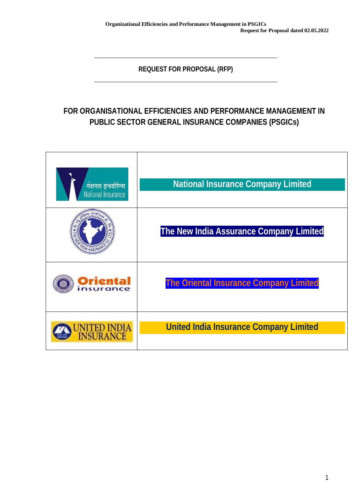**REQUEST FOR PROPOSAL (RFP)**

# **FOR ORGANISATIONAL EFFICIENCIES AND PERFORMANCE MANAGEMENT IN PUBLIC SECTOR GENERAL INSURANCE COMPANIES (PSGICs)**

| नंशनल इन्श्योरेन्स<br>National Insurance | <b>National Insurance Company Limited</b>     |
|------------------------------------------|-----------------------------------------------|
|                                          | The New India Assurance Company Limited       |
| Oriental<br>nsurance                     | <b>The Oriental Insurance Company Limited</b> |
| <b>JNITED INDIA</b><br>INSURANCE         | <b>United India Insurance Company Limited</b> |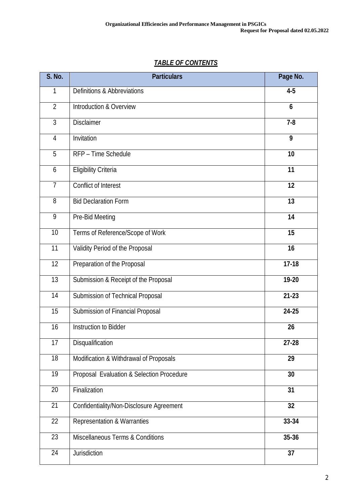| <b>S. No.</b>   | <b>Particulars</b>                        | Page No.  |
|-----------------|-------------------------------------------|-----------|
| 1               | <b>Definitions &amp; Abbreviations</b>    | $4-5$     |
| $\overline{2}$  | Introduction & Overview                   | 6         |
| 3               | <b>Disclaimer</b>                         | $7 - 8$   |
| 4               | Invitation                                | 9         |
| 5               | RFP - Time Schedule                       | 10        |
| 6               | <b>Eligibility Criteria</b>               | 11        |
| $\overline{7}$  | <b>Conflict of Interest</b>               | 12        |
| 8               | <b>Bid Declaration Form</b>               | 13        |
| 9               | Pre-Bid Meeting                           | 14        |
| 10              | Terms of Reference/Scope of Work          | 15        |
| 11              | Validity Period of the Proposal           | 16        |
| 12              | Preparation of the Proposal               | $17-18$   |
| 13              | Submission & Receipt of the Proposal      | 19-20     |
| 14              | Submission of Technical Proposal          | $21 - 23$ |
| 15              | Submission of Financial Proposal          | 24-25     |
| 16              | <b>Instruction to Bidder</b>              | 26        |
| $\overline{17}$ | Disqualification                          | $27 - 28$ |
| 18              | Modification & Withdrawal of Proposals    | 29        |
| 19              | Proposal Evaluation & Selection Procedure | 30        |
| 20              | Finalization                              | 31        |
| 21              | Confidentiality/Non-Disclosure Agreement  | 32        |
| 22              | <b>Representation &amp; Warranties</b>    | 33-34     |

Miscellaneous Terms & Conditions **35-36**

Jurisdiction **37**

# *TABLE OF CONTENTS*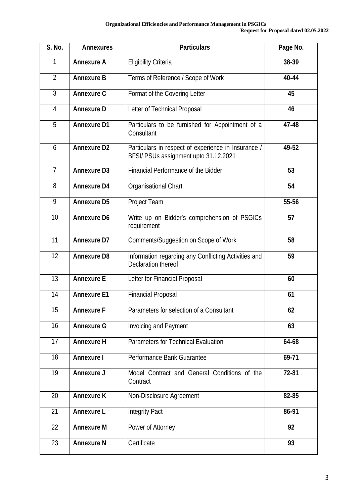| <b>S. No.</b>    | <b>Annexures</b>   | <b>Particulars</b>                                                                           | Page No. |
|------------------|--------------------|----------------------------------------------------------------------------------------------|----------|
| 1                | <b>Annexure A</b>  | <b>Eligibility Criteria</b>                                                                  | 38-39    |
| $\overline{2}$   | <b>Annexure B</b>  | Terms of Reference / Scope of Work                                                           | 40-44    |
| 3                | <b>Annexure C</b>  | Format of the Covering Letter                                                                | 45       |
| $\overline{4}$   | <b>Annexure D</b>  | Letter of Technical Proposal                                                                 | 46       |
| 5                | <b>Annexure D1</b> | Particulars to be furnished for Appointment of a<br>Consultant                               | 47-48    |
| 6                | <b>Annexure D2</b> | Particulars in respect of experience in Insurance /<br>BFSI/ PSUs assignment upto 31.12.2021 | 49-52    |
| $\overline{7}$   | <b>Annexure D3</b> | Financial Performance of the Bidder                                                          | 53       |
| 8                | <b>Annexure D4</b> | Organisational Chart                                                                         | 54       |
| 9                | <b>Annexure D5</b> | Project Team                                                                                 | 55-56    |
| 10               | <b>Annexure D6</b> | Write up on Bidder's comprehension of PSGICs<br>requirement                                  | 57       |
| 11               | <b>Annexure D7</b> | <b>Comments/Suggestion on Scope of Work</b>                                                  | 58       |
| 12               | <b>Annexure D8</b> | Information regarding any Conflicting Activities and<br>Declaration thereof                  | 59       |
| 13               | <b>Annexure E</b>  | Letter for Financial Proposal                                                                | 60       |
| 14               | <b>Annexure E1</b> | <b>Financial Proposal</b>                                                                    | 61       |
| 15 <sup>15</sup> | <b>Annexure F</b>  | Parameters for selection of a Consultant                                                     | 62       |
| 16               | <b>Annexure G</b>  | <b>Invoicing and Payment</b>                                                                 | 63       |
| 17               | <b>Annexure H</b>  | Parameters for Technical Evaluation                                                          | 64-68    |
| 18               | <b>Annexure I</b>  | Performance Bank Guarantee                                                                   | 69-71    |
| 19               | <b>Annexure J</b>  | Model Contract and General Conditions of the<br>Contract                                     | 72-81    |
| 20               | <b>Annexure K</b>  | Non-Disclosure Agreement                                                                     | 82-85    |
| 21               | <b>Annexure L</b>  | <b>Integrity Pact</b>                                                                        | 86-91    |
| 22               | <b>Annexure M</b>  | Power of Attorney                                                                            | 92       |
| 23               | <b>Annexure N</b>  | Certificate                                                                                  | 93       |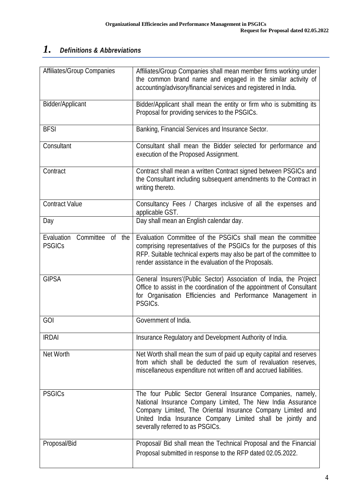# *1. Definitions & Abbreviations*

| <b>Affiliates/Group Companies</b>                  | Affiliates/Group Companies shall mean member firms working under<br>the common brand name and engaged in the similar activity of<br>accounting/advisory/financial services and registered in India.                                                                                          |
|----------------------------------------------------|----------------------------------------------------------------------------------------------------------------------------------------------------------------------------------------------------------------------------------------------------------------------------------------------|
| <b>Bidder/Applicant</b>                            | Bidder/Applicant shall mean the entity or firm who is submitting its<br>Proposal for providing services to the PSGICs.                                                                                                                                                                       |
| <b>BFSI</b>                                        | Banking, Financial Services and Insurance Sector.                                                                                                                                                                                                                                            |
| Consultant                                         | Consultant shall mean the Bidder selected for performance and<br>execution of the Proposed Assignment.                                                                                                                                                                                       |
| Contract                                           | Contract shall mean a written Contract signed between PSGICs and<br>the Consultant including subsequent amendments to the Contract in<br>writing thereto.                                                                                                                                    |
| <b>Contract Value</b>                              | Consultancy Fees / Charges inclusive of all the expenses and<br>applicable GST.                                                                                                                                                                                                              |
| Day                                                | Day shall mean an English calendar day.                                                                                                                                                                                                                                                      |
| Committee<br>Evaluation<br>of the<br><b>PSGICs</b> | Evaluation Committee of the PSGICs shall mean the committee<br>comprising representatives of the PSGICs for the purposes of this<br>RFP. Suitable technical experts may also be part of the committee to<br>render assistance in the evaluation of the Proposals.                            |
| <b>GIPSA</b>                                       | General Insurers'(Public Sector) Association of India, the Project<br>Office to assist in the coordination of the appointment of Consultant<br>for Organisation Efficiencies and Performance Management in<br>PSGICs.                                                                        |
| GOI                                                | Government of India.                                                                                                                                                                                                                                                                         |
| <b>IRDAI</b>                                       | Insurance Regulatory and Development Authority of India.                                                                                                                                                                                                                                     |
| Net Worth                                          | Net Worth shall mean the sum of paid up equity capital and reserves<br>from which shall be deducted the sum of revaluation reserves,<br>miscellaneous expenditure not written off and accrued liabilities.                                                                                   |
| <b>PSGICs</b>                                      | The four Public Sector General Insurance Companies, namely,<br>National Insurance Company Limited, The New India Assurance<br>Company Limited, The Oriental Insurance Company Limited and<br>United India Insurance Company Limited shall be jointly and<br>severally referred to as PSGICs. |
| Proposal/Bid                                       | Proposal/ Bid shall mean the Technical Proposal and the Financial<br>Proposal submitted in response to the RFP dated 02.05.2022.                                                                                                                                                             |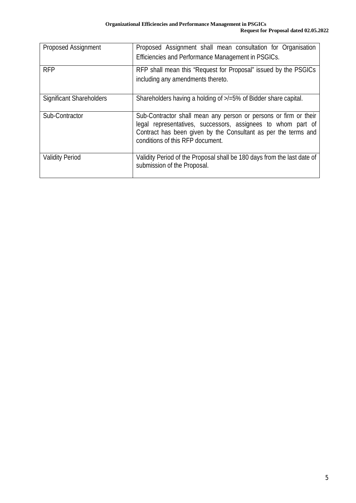| <b>Proposed Assignment</b>      | Proposed Assignment shall mean consultation for Organisation<br>Efficiencies and Performance Management in PSGICs.                                                                                                                     |
|---------------------------------|----------------------------------------------------------------------------------------------------------------------------------------------------------------------------------------------------------------------------------------|
| <b>RFP</b>                      | RFP shall mean this "Request for Proposal" issued by the PSGICs<br>including any amendments thereto.                                                                                                                                   |
| <b>Significant Shareholders</b> | Shareholders having a holding of $\ge$ /=5% of Bidder share capital.                                                                                                                                                                   |
| Sub-Contractor                  | Sub-Contractor shall mean any person or persons or firm or their<br>legal representatives, successors, assignees to whom part of<br>Contract has been given by the Consultant as per the terms and<br>conditions of this RFP document. |
| <b>Validity Period</b>          | Validity Period of the Proposal shall be 180 days from the last date of<br>submission of the Proposal.                                                                                                                                 |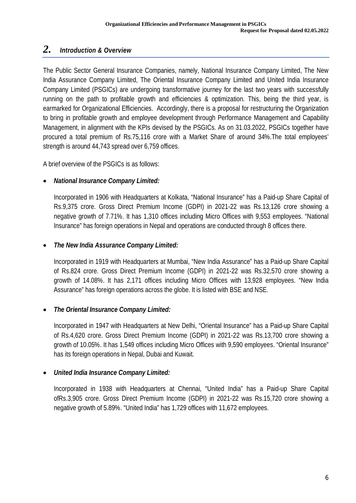### *2. Introduction & Overview*

The Public Sector General Insurance Companies, namely, National Insurance Company Limited, The New India Assurance Company Limited, The Oriental Insurance Company Limited and United India Insurance Company Limited (PSGICs) are undergoing transformative journey for the last two years with successfully running on the path to profitable growth and efficiencies & optimization. This, being the third year, is earmarked for Organizational Efficiencies. Accordingly, there is a proposal for restructuring the Organization to bring in profitable growth and employee development through Performance Management and Capability Management, in alignment with the KPIs devised by the PSGICs. As on 31.03.2022, PSGICs together have procured a total premium of Rs.75,116 crore with a Market Share of around 34%.The total employees' strength is around 44,743 spread over 6,759 offices.

A brief overview of the PSGICs is as follows:

#### *National Insurance Company Limited:*

Incorporated in 1906 with Headquarters at Kolkata, "National Insurance" has a Paid-up Share Capital of Rs.9,375 crore. Gross Direct Premium Income (GDPI) in 2021-22 was Rs.13,126 crore showing a negative growth of 7.71%. It has 1,310 offices including Micro Offices with 9,553 employees. "National Insurance" has foreign operations in Nepal and operations are conducted through 8 offices there.

#### *The New India Assurance Company Limited:*

Incorporated in 1919 with Headquarters at Mumbai, "New India Assurance" has a Paid-up Share Capital of Rs.824 crore. Gross Direct Premium Income (GDPI) in 2021-22 was Rs.32,570 crore showing a growth of 14.08%. It has 2,171 offices including Micro Offices with 13,928 employees. "New India Assurance" has foreign operations across the globe. It is listed with BSE and NSE.

#### *The Oriental Insurance Company Limited:*

Incorporated in 1947 with Headquarters at New Delhi, "Oriental Insurance" has a Paid-up Share Capital of Rs.4,620 crore. Gross Direct Premium Income (GDPI) in 2021-22 was Rs.13,700 crore showing a growth of 10.05%. It has 1,549 offices including Micro Offices with 9,590 employees. "Oriental Insurance" has its foreign operations in Nepal, Dubai and Kuwait.

#### *United India Insurance Company Limited:*

Incorporated in 1938 with Headquarters at Chennai, "United India" has a Paid-up Share Capital ofRs.3,905 crore. Gross Direct Premium Income (GDPI) in 2021-22 was Rs.15,720 crore showing a negative growth of 5.89%. "United India" has 1,729 offices with 11,672 employees.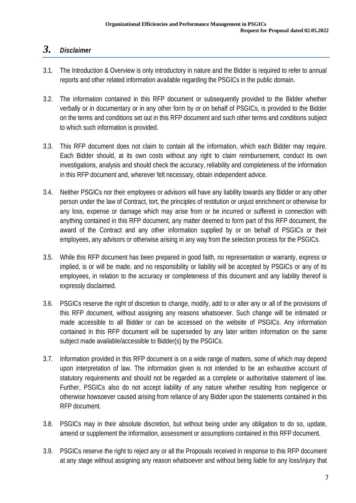## *3. Disclaimer*

- 3.1. The Introduction & Overview is only introductory in nature and the Bidder is required to refer to annual reports and other related information available regarding the PSGICs in the public domain.
- 3.2. The information contained in this RFP document or subsequently provided to the Bidder whether verbally or in documentary or in any other form by or on behalf of PSGICs, is provided to the Bidder on the terms and conditions set out in this RFP document and such other terms and conditions subject to which such information is provided.
- 3.3. This RFP document does not claim to contain all the information, which each Bidder may require. Each Bidder should, at its own costs without any right to claim reimbursement, conduct its own investigations, analysis and should check the accuracy, reliability and completeness of the information in this RFP document and, wherever felt necessary, obtain independent advice.
- 3.4. Neither PSGICs nor their employees or advisors will have any liability towards any Bidder or any other person under the law of Contract, tort, the principles of restitution or unjust enrichment or otherwise for any loss, expense or damage which may arise from or be incurred or suffered in connection with anything contained in this RFP document, any matter deemed to form part of this RFP document, the award of the Contract and any other information supplied by or on behalf of PSGICs or their employees, any advisors or otherwise arising in any way from the selection process for the PSGICs.
- 3.5. While this RFP document has been prepared in good faith, no representation or warranty, express or implied, is or will be made, and no responsibility or liability will be accepted by PSGICs or any of its employees, in relation to the accuracy or completeness of this document and any liability thereof is expressly disclaimed.
- 3.6. PSGICs reserve the right of discretion to change, modify, add to or alter any or all of the provisions of this RFP document, without assigning any reasons whatsoever. Such change will be intimated or made accessible to all Bidder or can be accessed on the website of PSGICs. Any information contained in this RFP document will be superseded by any later written information on the same subject made available/accessible to Bidder(s) by the PSGICs.
- 3.7. Information provided in this RFP document is on a wide range of matters, some of which may depend upon interpretation of law. The information given is not intended to be an exhaustive account of statutory requirements and should not be regarded as a complete or authoritative statement of law. Further, PSGICs also do not accept liability of any nature whether resulting from negligence or otherwise howsoever caused arising from reliance of any Bidder upon the statements contained in this RFP document.
- 3.8. PSGICs may in their absolute discretion, but without being under any obligation to do so, update, amend or supplement the information, assessment or assumptions contained in this RFP document.
- 3.9. PSGICs reserve the right to reject any or all the Proposals received in response to this RFP document at any stage without assigning any reason whatsoever and without being liable for any loss/injury that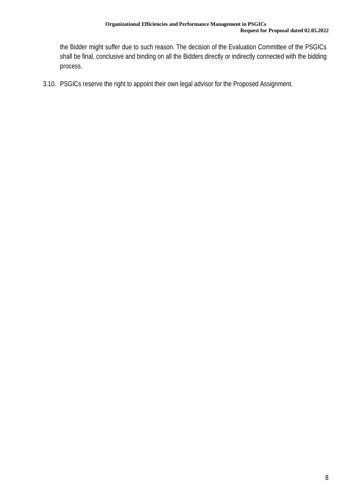the Bidder might suffer due to such reason. The decision of the Evaluation Committee of the PSGICs shall be final, conclusive and binding on all the Bidders directly or indirectly connected with the bidding process.

3.10. PSGICs reserve the right to appoint their own legal advisor for the Proposed Assignment.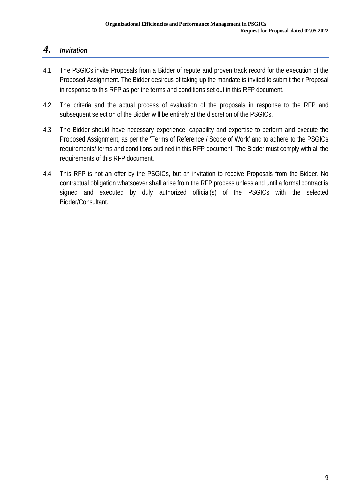## *4. Invitation*

- 4.1 The PSGICs invite Proposals from a Bidder of repute and proven track record for the execution of the Proposed Assignment. The Bidder desirous of taking up the mandate is invited to submit their Proposal in response to this RFP as per the terms and conditions set out in this RFP document.
- 4.2 The criteria and the actual process of evaluation of the proposals in response to the RFP and subsequent selection of the Bidder will be entirely at the discretion of the PSGICs.
- 4.3 The Bidder should have necessary experience, capability and expertise to perform and execute the Proposed Assignment, as per the 'Terms of Reference / Scope of Work' and to adhere to the PSGICs requirements/ terms and conditions outlined in this RFP document. The Bidder must comply with all the requirements of this RFP document.
- 4.4 This RFP is not an offer by the PSGICs, but an invitation to receive Proposals from the Bidder. No contractual obligation whatsoever shall arise from the RFP process unless and until a formal contract is signed and executed by duly authorized official(s) of the PSGICs with the selected Bidder/Consultant.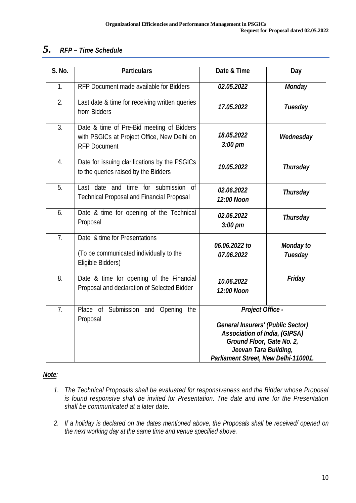### *5. RFP – Time Schedule*

| S. No.           | <b>Particulars</b>                                                                                              | Date & Time                                                                                                                                                       | <b>Day</b>                         |
|------------------|-----------------------------------------------------------------------------------------------------------------|-------------------------------------------------------------------------------------------------------------------------------------------------------------------|------------------------------------|
| 1.               | RFP Document made available for Bidders                                                                         | 02.05.2022                                                                                                                                                        | <b>Monday</b>                      |
| 2.               | Last date & time for receiving written queries<br>from Bidders                                                  | 17.05.2022                                                                                                                                                        | <b>Tuesday</b>                     |
| $\overline{3}$ . | Date & time of Pre-Bid meeting of Bidders<br>with PSGICs at Project Office, New Delhi on<br><b>RFP Document</b> | 18.05.2022<br>$3:00$ pm                                                                                                                                           | Wednesday                          |
| $\overline{4}$ . | Date for issuing clarifications by the PSGICs<br>to the queries raised by the Bidders                           | 19.05.2022                                                                                                                                                        | <b>Thursday</b>                    |
| 5.               | Last date and time for submission of<br><b>Technical Proposal and Financial Proposal</b>                        | 02.06.2022<br>12:00 Noon                                                                                                                                          | <b>Thursday</b>                    |
| 6.               | Date & time for opening of the Technical<br>Proposal                                                            | 02.06.2022<br>$3:00$ pm                                                                                                                                           | <b>Thursday</b>                    |
| $\overline{7}$ . | Date & time for Presentations<br>(To be communicated individually to the<br>Eligible Bidders)                   | 06.06.2022 to<br>07.06.2022                                                                                                                                       | <b>Monday to</b><br><b>Tuesday</b> |
| 8.               | Date & time for opening of the Financial<br>Proposal and declaration of Selected Bidder                         | 10.06.2022<br>12:00 Noon                                                                                                                                          | <b>Friday</b>                      |
| 7.               | Place of Submission and Opening<br>the<br>Proposal                                                              | <b>Project Office -</b><br><b>General Insurers' (Public Sector)</b><br><b>Association of India, (GIPSA)</b><br>Ground Floor, Gate No. 2,<br>Jeevan Tara Building, |                                    |
|                  |                                                                                                                 | Parliament Street, New Delhi-110001.                                                                                                                              |                                    |

#### *Note:*

- *1. The Technical Proposals shall be evaluated for responsiveness and the Bidder whose Proposal is found responsive shall be invited for Presentation. The date and time for the Presentation shall be communicated at a later date.*
- *2. If a holiday is declared on the dates mentioned above, the Proposals shall be received/ opened on the next working day at the same time and venue specified above.*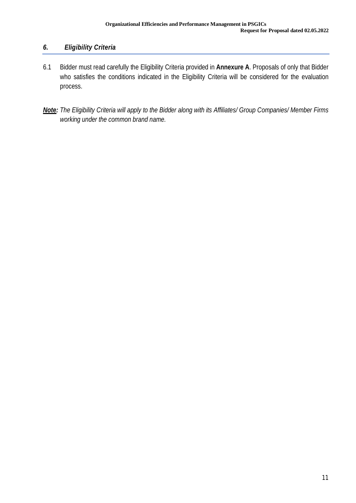### *6. Eligibility Criteria*

- 6.1 Bidder must read carefully the Eligibility Criteria provided in **Annexure A**. Proposals of only that Bidder who satisfies the conditions indicated in the Eligibility Criteria will be considered for the evaluation process.
- *Note: The Eligibility Criteria will apply to the Bidder along with its Affiliates/ Group Companies/ Member Firms working under the common brand name.*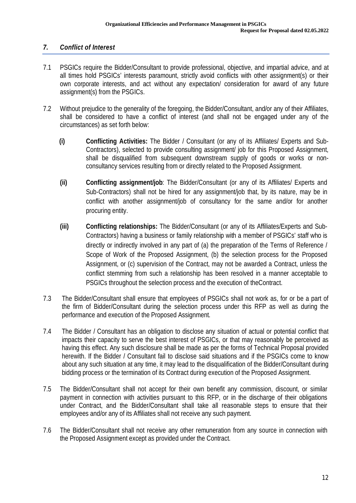### *7. Conflict of Interest*

- 7.1 PSGICs require the Bidder/Consultant to provide professional, objective, and impartial advice, and at all times hold PSGICs' interests paramount, strictly avoid conflicts with other assignment(s) or their own corporate interests, and act without any expectation/ consideration for award of any future assignment(s) from the PSGICs.
- 7.2 Without prejudice to the generality of the foregoing, the Bidder/Consultant, and/or any of their Affiliates, shall be considered to have a conflict of interest (and shall not be engaged under any of the circumstances) as set forth below:
	- **(i) Conflicting Activities:** The Bidder / Consultant (or any of its Affiliates/ Experts and Sub-Contractors), selected to provide consulting assignment/ job for this Proposed Assignment, shall be disqualified from subsequent downstream supply of goods or works or nonconsultancy services resulting from or directly related to the Proposed Assignment.
	- **(ii) Conflicting assignment/job**: The Bidder/Consultant (or any of its Affiliates/ Experts and Sub-Contractors) shall not be hired for any assignment/job that, by its nature, may be in conflict with another assignment/job of consultancy for the same and/or for another procuring entity.
	- **(iii) Conflicting relationships:** The Bidder/Consultant (or any of its Affiliates/Experts and Sub-Contractors) having a business or family relationship with a member of PSGICs' staff who is directly or indirectly involved in any part of (a) the preparation of the Terms of Reference / Scope of Work of the Proposed Assignment, (b) the selection process for the Proposed Assignment, or (c) supervision of the Contract, may not be awarded a Contract, unless the conflict stemming from such a relationship has been resolved in a manner acceptable to PSGICs throughout the selection process and the execution of theContract.
- 7.3 The Bidder/Consultant shall ensure that employees of PSGICs shall not work as, for or be a part of the firm of Bidder/Consultant during the selection process under this RFP as well as during the performance and execution of the Proposed Assignment.
- 7.4 The Bidder / Consultant has an obligation to disclose any situation of actual or potential conflict that impacts their capacity to serve the best interest of PSGICs, or that may reasonably be perceived as having this effect. Any such disclosure shall be made as per the forms of Technical Proposal provided herewith. If the Bidder / Consultant fail to disclose said situations and if the PSGICs come to know about any such situation at any time, it may lead to the disqualification of the Bidder/Consultant during bidding process or the termination of its Contract during execution of the Proposed Assignment.
- 7.5 The Bidder/Consultant shall not accept for their own benefit any commission, discount, or similar payment in connection with activities pursuant to this RFP, or in the discharge of their obligations under Contract, and the Bidder/Consultant shall take all reasonable steps to ensure that their employees and/or any of its Affiliates shall not receive any such payment.
- 7.6 The Bidder/Consultant shall not receive any other remuneration from any source in connection with the Proposed Assignment except as provided under the Contract.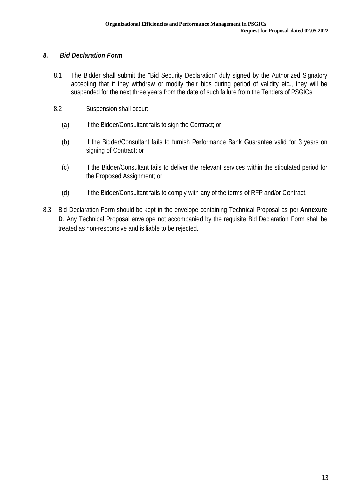#### *8. Bid Declaration Form*

- 8.1 The Bidder shall submit the "Bid Security Declaration" duly signed by the Authorized Signatory accepting that if they withdraw or modify their bids during period of validity etc., they will be suspended for the next three years from the date of such failure from the Tenders of PSGICs.
- 8.2 Suspension shall occur:
	- (a) If the Bidder/Consultant fails to sign the Contract; or
	- (b) If the Bidder/Consultant fails to furnish Performance Bank Guarantee valid for 3 years on signing of Contract; or
	- (c) If the Bidder/Consultant fails to deliver the relevant services within the stipulated period for the Proposed Assignment; or
	- (d) If the Bidder/Consultant fails to comply with any of the terms of RFP and/or Contract.
- 8.3 Bid Declaration Form should be kept in the envelope containing Technical Proposal as per **Annexure D**. Any Technical Proposal envelope not accompanied by the requisite Bid Declaration Form shall be treated as non-responsive and is liable to be rejected.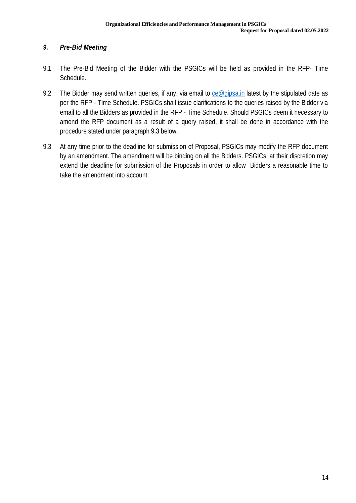### *9. Pre-Bid Meeting*

- 9.1 The Pre-Bid Meeting of the Bidder with the PSGICs will be held as provided in the RFP- Time Schedule.
- 9.2 The Bidder may send written queries, if any, via email to ce@gipsa.in latest by the stipulated date as per the RFP - Time Schedule. PSGICs shall issue clarifications to the queries raised by the Bidder via email to all the Bidders as provided in the RFP - Time Schedule. Should PSGICs deem it necessary to amend the RFP document as a result of a query raised, it shall be done in accordance with the procedure stated under paragraph 9.3 below.
- 9.3 At any time prior to the deadline for submission of Proposal, PSGICs may modify the RFP document by an amendment. The amendment will be binding on all the Bidders. PSGICs, at their discretion may extend the deadline for submission of the Proposals in order to allow Bidders a reasonable time to take the amendment into account.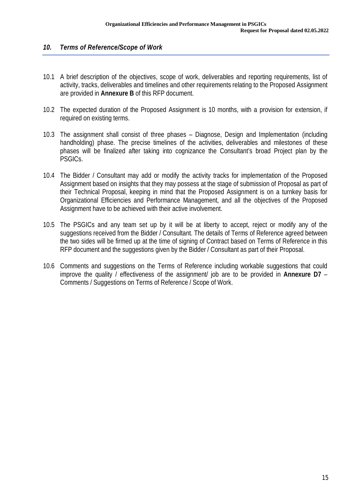#### *10. Terms of Reference/Scope of Work*

- 10.1 A brief description of the objectives, scope of work, deliverables and reporting requirements, list of activity, tracks, deliverables and timelines and other requirements relating to the Proposed Assignment are provided in **Annexure B** of this RFP document.
- 10.2 The expected duration of the Proposed Assignment is 10 months, with a provision for extension, if required on existing terms.
- 10.3 The assignment shall consist of three phases Diagnose, Design and Implementation (including handholding) phase. The precise timelines of the activities, deliverables and milestones of these phases will be finalized after taking into cognizance the Consultant's broad Project plan by the PSGICs.
- 10.4 The Bidder / Consultant may add or modify the activity tracks for implementation of the Proposed Assignment based on insights that they may possess at the stage of submission of Proposal as part of their Technical Proposal, keeping in mind that the Proposed Assignment is on a turnkey basis for Organizational Efficiencies and Performance Management, and all the objectives of the Proposed Assignment have to be achieved with their active involvement.
- 10.5 The PSGICs and any team set up by it will be at liberty to accept, reject or modify any of the suggestions received from the Bidder / Consultant. The details of Terms of Reference agreed between the two sides will be firmed up at the time of signing of Contract based on Terms of Reference in this RFP document and the suggestions given by the Bidder / Consultant as part of their Proposal.
- 10.6 Comments and suggestions on the Terms of Reference including workable suggestions that could improve the quality / effectiveness of the assignment/ job are to be provided in **Annexure D7** – Comments / Suggestions on Terms of Reference / Scope of Work.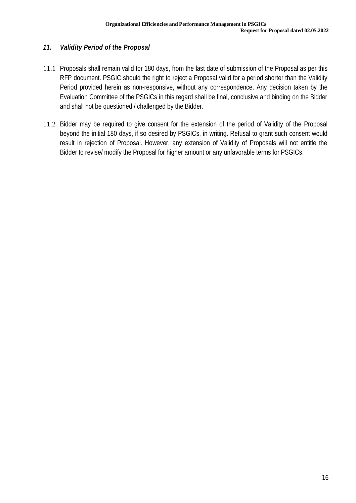### *11. Validity Period of the Proposal*

- 11.1 Proposals shall remain valid for 180 days, from the last date of submission of the Proposal as per this RFP document. PSGIC should the right to reject a Proposal valid for a period shorter than the Validity Period provided herein as non-responsive, without any correspondence. Any decision taken by the Evaluation Committee of the PSGICs in this regard shall be final, conclusive and binding on the Bidder and shall not be questioned / challenged by the Bidder.
- 11.2 Bidder may be required to give consent for the extension of the period of Validity of the Proposal beyond the initial 180 days, if so desired by PSGICs, in writing. Refusal to grant such consent would result in rejection of Proposal. However, any extension of Validity of Proposals will not entitle the Bidder to revise/ modify the Proposal for higher amount or any unfavorable terms for PSGICs.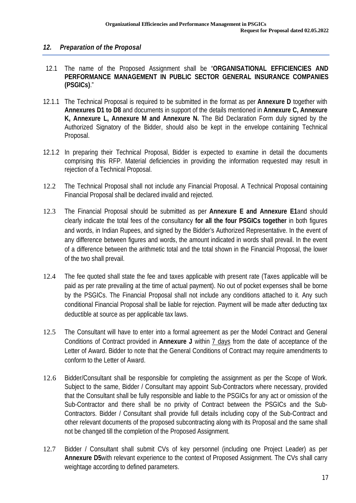#### *12. Preparation of the Proposal*

- 12.1 The name of the Proposed Assignment shall be "**ORGANISATIONAL EFFICIENCIES AND PERFORMANCE MANAGEMENT IN PUBLIC SECTOR GENERAL INSURANCE COMPANIES (PSGICs)**."
- 12.1.1 The Technical Proposal is required to be submitted in the format as per **Annexure D** together with **Annexures D1 to D8** and documents in support of the details mentioned in **Annexure C, Annexure K, Annexure L, Annexure M and Annexure N.** The Bid Declaration Form duly signed by the Authorized Signatory of the Bidder, should also be kept in the envelope containing Technical Proposal.
- 12.1.2 In preparing their Technical Proposal, Bidder is expected to examine in detail the documents comprising this RFP. Material deficiencies in providing the information requested may result in rejection of a Technical Proposal.
- 12.2 The Technical Proposal shall not include any Financial Proposal. A Technical Proposal containing Financial Proposal shall be declared invalid and rejected.
- 12.3 The Financial Proposal should be submitted as per **Annexure E and Annexure E1**and should clearly indicate the total fees of the consultancy **for all the four PSGICs together** in both figures and words, in Indian Rupees, and signed by the Bidder's Authorized Representative. In the event of any difference between figures and words, the amount indicated in words shall prevail. In the event of a difference between the arithmetic total and the total shown in the Financial Proposal, the lower of the two shall prevail.
- 12.4 The fee quoted shall state the fee and taxes applicable with present rate (Taxes applicable will be paid as per rate prevailing at the time of actual payment). No out of pocket expenses shall be borne by the PSGICs. The Financial Proposal shall not include any conditions attached to it. Any such conditional Financial Proposal shall be liable for rejection. Payment will be made after deducting tax deductible at source as per applicable tax laws.
- 12.5 The Consultant will have to enter into a formal agreement as per the Model Contract and General Conditions of Contract provided in **Annexure J** within 7 days from the date of acceptance of the Letter of Award. Bidder to note that the General Conditions of Contract may require amendments to conform to the Letter of Award.
- 12.6 Bidder/Consultant shall be responsible for completing the assignment as per the Scope of Work. Subject to the same, Bidder / Consultant may appoint Sub-Contractors where necessary, provided that the Consultant shall be fully responsible and liable to the PSGICs for any act or omission of the Sub-Contractor and there shall be no privity of Contract between the PSGICs and the Sub-Contractors. Bidder / Consultant shall provide full details including copy of the Sub-Contract and other relevant documents of the proposed subcontracting along with its Proposal and the same shall not be changed till the completion of the Proposed Assignment.
- 12.7 Bidder / Consultant shall submit CVs of key personnel (including one Project Leader) as per **Annexure D5**with relevant experience to the context of Proposed Assignment. The CVs shall carry weightage according to defined parameters.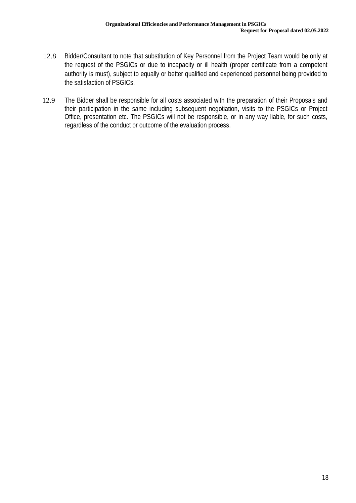- 12.8 Bidder/Consultant to note that substitution of Key Personnel from the Project Team would be only at the request of the PSGICs or due to incapacity or ill health (proper certificate from a competent authority is must), subject to equally or better qualified and experienced personnel being provided to the satisfaction of PSGICs.
- 12.9 The Bidder shall be responsible for all costs associated with the preparation of their Proposals and their participation in the same including subsequent negotiation, visits to the PSGICs or Project Office, presentation etc. The PSGICs will not be responsible, or in any way liable, for such costs, regardless of the conduct or outcome of the evaluation process.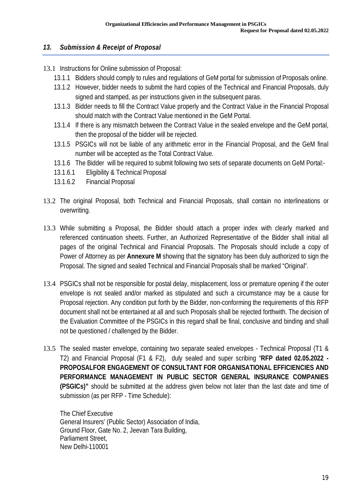#### *13. Submission & Receipt of Proposal*

- 13.1 Instructions for Online submission of Proposal:
	- 13.1.1 Bidders should comply to rules and regulations of GeM portal for submission of Proposals online.
	- 13.1.2 However, bidder needs to submit the hard copies of the Technical and Financial Proposals, duly signed and stamped, as per instructions given in the subsequent paras.
	- 13.1.3 Bidder needs to fill the Contract Value properly and the Contract Value in the Financial Proposal should match with the Contract Value mentioned in the GeM Portal.
	- 13.1.4 If there is any mismatch between the Contract Value in the sealed envelope and the GeM portal, then the proposal of the bidder will be rejected.
	- 13.1.5 PSGICs will not be liable of any arithmetic error in the Financial Proposal, and the GeM final number will be accepted as the Total Contract Value.
	- 13.1.6 The Bidder will be required to submit following two sets of separate documents on GeM Portal:-
	- 13.1.6.1 Eligibility & Technical Proposal
	- 13.1.6.2 Financial Proposal
- 13.2 The original Proposal, both Technical and Financial Proposals, shall contain no interlineations or overwriting.
- 13.3 While submitting a Proposal, the Bidder should attach a proper index with clearly marked and referenced continuation sheets. Further, an Authorized Representative of the Bidder shall initial all pages of the original Technical and Financial Proposals. The Proposals should include a copy of Power of Attorney as per **Annexure M** showing that the signatory has been duly authorized to sign the Proposal. The signed and sealed Technical and Financial Proposals shall be marked "Original".
- 13.4 PSGICs shall not be responsible for postal delay, misplacement, loss or premature opening if the outer envelope is not sealed and/or marked as stipulated and such a circumstance may be a cause for Proposal rejection. Any condition put forth by the Bidder, non-conforming the requirements of this RFP document shall not be entertained at all and such Proposals shall be rejected forthwith. The decision of the Evaluation Committee of the PSGICs in this regard shall be final, conclusive and binding and shall not be questioned / challenged by the Bidder.
- 13.5 The sealed master envelope, containing two separate sealed envelopes Technical Proposal (T1 & T2) and Financial Proposal (F1 & F2), duly sealed and super scribing "**RFP dated 02.05.2022 - PROPOSALFOR ENGAGEMENT OF CONSULTANT FOR ORGANISATIONAL EFFICIENCIES AND PERFORMANCE MANAGEMENT IN PUBLIC SECTOR GENERAL INSURANCE COMPANIES (PSGICs)"** should be submitted at the address given below not later than the last date and time of submission (as per RFP - Time Schedule):

The Chief Executive General Insurers' (Public Sector) Association of India, Ground Floor, Gate No. 2, Jeevan Tara Building, Parliament Street, New Delhi-110001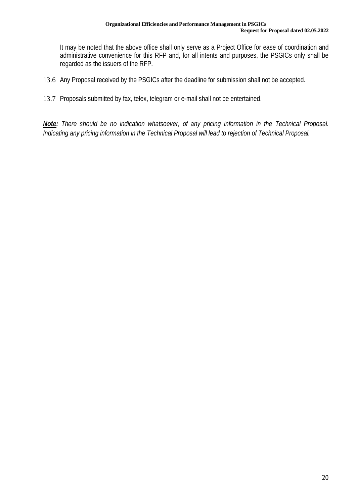It may be noted that the above office shall only serve as a Project Office for ease of coordination and administrative convenience for this RFP and, for all intents and purposes, the PSGICs only shall be regarded as the issuers of the RFP.

- 13.6 Any Proposal received by the PSGICs after the deadline for submission shall not be accepted.
- 13.7 Proposals submitted by fax, telex, telegram or e-mail shall not be entertained.

*Note: There should be no indication whatsoever, of any pricing information in the Technical Proposal. Indicating any pricing information in the Technical Proposal will lead to rejection of Technical Proposal.*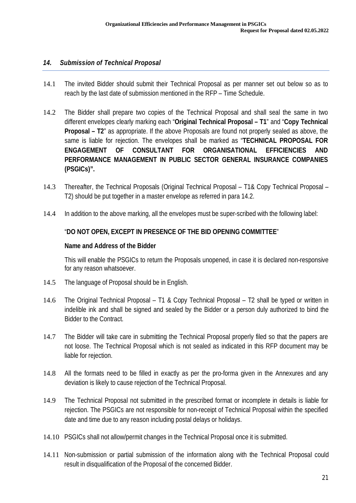#### *14. Submission of Technical Proposal*

- 14.1 The invited Bidder should submit their Technical Proposal as per manner set out below so as to reach by the last date of submission mentioned in the RFP – Time Schedule.
- 14.2 The Bidder shall prepare two copies of the Technical Proposal and shall seal the same in two different envelopes clearly marking each "**Original Technical Proposal – T1**" and "**Copy Technical Proposal – T2**" as appropriate. If the above Proposals are found not properly sealed as above, the same is liable for rejection. The envelopes shall be marked as "**TECHNICAL PROPOSAL FOR ENGAGEMENT OF CONSULTANT FOR ORGANISATIONAL EFFICIENCIES AND PERFORMANCE MANAGEMENT IN PUBLIC SECTOR GENERAL INSURANCE COMPANIES (PSGICs)".**
- 14.3 Thereafter, the Technical Proposals (Original Technical Proposal T1& Copy Technical Proposal T2) should be put together in a master envelope as referred in para 14.2.
- 14.4 In addition to the above marking, all the envelopes must be super-scribed with the following label:

#### "**DO NOT OPEN, EXCEPT IN PRESENCE OF THE BID OPENING COMMITTEE**"

#### **Name and Address of the Bidder**

This will enable the PSGICs to return the Proposals unopened, in case it is declared non-responsive for any reason whatsoever.

- 14.5 The language of Proposal should be in English.
- 14.6 The Original Technical Proposal T1 & Copy Technical Proposal T2 shall be typed or written in indelible ink and shall be signed and sealed by the Bidder or a person duly authorized to bind the Bidder to the Contract.
- 14.7 The Bidder will take care in submitting the Technical Proposal properly filed so that the papers are not loose. The Technical Proposal which is not sealed as indicated in this RFP document may be liable for rejection.
- 14.8 All the formats need to be filled in exactly as per the pro-forma given in the Annexures and any deviation is likely to cause rejection of the Technical Proposal.
- 14.9 The Technical Proposal not submitted in the prescribed format or incomplete in details is liable for rejection. The PSGICs are not responsible for non-receipt of Technical Proposal within the specified date and time due to any reason including postal delays or holidays.
- 14.10 PSGICs shall not allow/permit changes in the Technical Proposal once it is submitted.
- 14.11 Non-submission or partial submission of the information along with the Technical Proposal could result in disqualification of the Proposal of the concerned Bidder.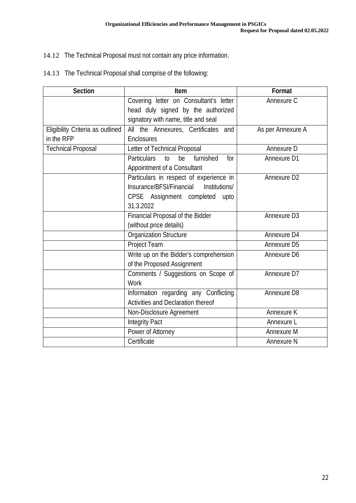### 14.12 The Technical Proposal must not contain any price information.

| <b>Section</b>                   | Item                                               | <b>Format</b>           |
|----------------------------------|----------------------------------------------------|-------------------------|
|                                  | Covering letter on Consultant's letter             | Annexure C              |
|                                  | head duly signed by the authorized                 |                         |
|                                  | signatory with name, title and seal                |                         |
| Eligibility Criteria as outlined | All the Annexures, Certificates and                | As per Annexure A       |
| in the RFP                       | <b>Enclosures</b>                                  |                         |
| <b>Technical Proposal</b>        | Letter of Technical Proposal                       | Annexure D              |
|                                  | <b>Particulars</b><br>be<br>furnished<br>to<br>for | <b>Annexure D1</b>      |
|                                  | Appointment of a Consultant                        |                         |
|                                  | Particulars in respect of experience in            | Annexure D <sub>2</sub> |
|                                  | Insurance/BFSI/Financial<br>Institutions/          |                         |
|                                  | CPSE Assignment completed<br>upto                  |                         |
|                                  | 31.3.2022                                          |                         |
|                                  | Financial Proposal of the Bidder                   | Annexure D <sub>3</sub> |
|                                  | (without price details)                            |                         |
|                                  | <b>Organization Structure</b>                      | Annexure D4             |
|                                  | Project Team                                       | <b>Annexure D5</b>      |
|                                  | Write up on the Bidder's comprehension             | Annexure D6             |
|                                  | of the Proposed Assignment                         |                         |
|                                  | Comments / Suggestions on Scope of                 | Annexure D7             |
|                                  | Work                                               |                         |
|                                  | Information regarding any Conflicting              | <b>Annexure D8</b>      |
|                                  | <b>Activities and Declaration thereof</b>          |                         |
|                                  | Non-Disclosure Agreement                           | <b>Annexure K</b>       |
|                                  | <b>Integrity Pact</b>                              | Annexure L              |
|                                  | Power of Attorney                                  | <b>Annexure M</b>       |
|                                  | Certificate                                        | <b>Annexure N</b>       |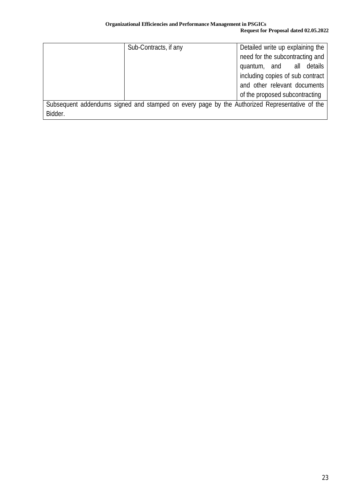#### **Organizational Efficiencies and Performance Management in PSGICs Request for Proposal dated 02.05.2022**

|                                                                                               | Sub-Contracts, if any | Detailed write up explaining the |
|-----------------------------------------------------------------------------------------------|-----------------------|----------------------------------|
|                                                                                               |                       | need for the subcontracting and  |
|                                                                                               |                       | quantum, and all details         |
|                                                                                               |                       | including copies of sub contract |
|                                                                                               |                       | and other relevant documents     |
|                                                                                               |                       | of the proposed subcontracting   |
| Subsequent addendums signed and stamped on every page by the Authorized Representative of the |                       |                                  |
| Bidder.                                                                                       |                       |                                  |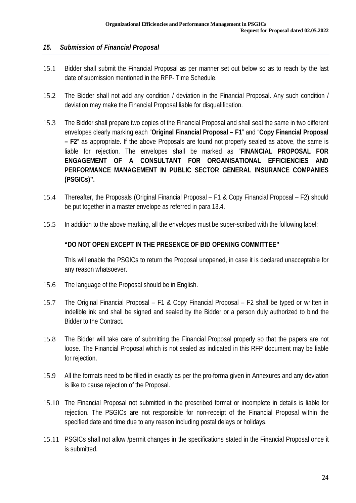#### *15. Submission of Financial Proposal*

- 15.1 Bidder shall submit the Financial Proposal as per manner set out below so as to reach by the last date of submission mentioned in the RFP- Time Schedule.
- 15.2 The Bidder shall not add any condition / deviation in the Financial Proposal. Any such condition / deviation may make the Financial Proposal liable for disqualification.
- 15.3 The Bidder shall prepare two copies of the Financial Proposal and shall seal the same in two different envelopes clearly marking each "**Original Financial Proposal – F1**" and "**Copy Financial Proposal – F2**" as appropriate. If the above Proposals are found not properly sealed as above, the same is liable for rejection. The envelopes shall be marked as "**FINANCIAL PROPOSAL FOR ENGAGEMENT OF A CONSULTANT FOR ORGANISATIONAL EFFICIENCIES AND PERFORMANCE MANAGEMENT IN PUBLIC SECTOR GENERAL INSURANCE COMPANIES (PSGICs)".**
- 15.4 Thereafter, the Proposals (Original Financial Proposal F1 & Copy Financial Proposal F2) should be put together in a master envelope as referred in para 13.4.
- 15.5 In addition to the above marking, all the envelopes must be super-scribed with the following label:

#### **"DO NOT OPEN EXCEPT IN THE PRESENCE OF BID OPENING COMMITTEE"**

This will enable the PSGICs to return the Proposal unopened, in case it is declared unacceptable for any reason whatsoever.

- 15.6 The language of the Proposal should be in English.
- 15.7 The Original Financial Proposal F1 & Copy Financial Proposal F2 shall be typed or written in indelible ink and shall be signed and sealed by the Bidder or a person duly authorized to bind the Bidder to the Contract.
- 15.8 The Bidder will take care of submitting the Financial Proposal properly so that the papers are not loose. The Financial Proposal which is not sealed as indicated in this RFP document may be liable for rejection.
- 15.9 All the formats need to be filled in exactly as per the pro-forma given in Annexures and any deviation is like to cause rejection of the Proposal.
- 15.10 The Financial Proposal not submitted in the prescribed format or incomplete in details is liable for rejection. The PSGICs are not responsible for non-receipt of the Financial Proposal within the specified date and time due to any reason including postal delays or holidays.
- 15.11 PSGICs shall not allow /permit changes in the specifications stated in the Financial Proposal once it is submitted.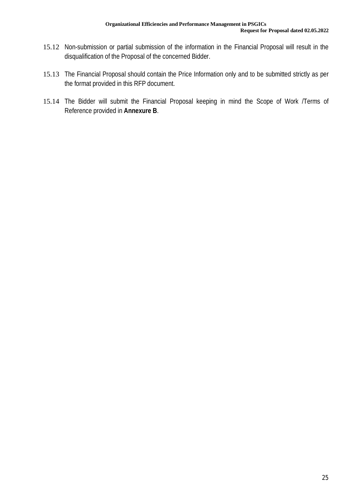- 15.12 Non-submission or partial submission of the information in the Financial Proposal will result in the disqualification of the Proposal of the concerned Bidder.
- 15.13 The Financial Proposal should contain the Price Information only and to be submitted strictly as per the format provided in this RFP document.
- 15.14 The Bidder will submit the Financial Proposal keeping in mind the Scope of Work /Terms of Reference provided in **Annexure B**.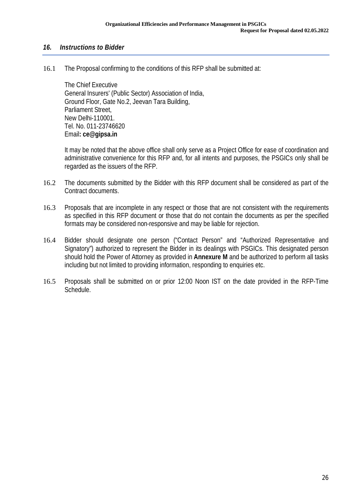#### *16. Instructions to Bidder*

16.1 The Proposal confirming to the conditions of this RFP shall be submitted at:

The Chief Executive General Insurers' (Public Sector) Association of India, Ground Floor, Gate No.2, Jeevan Tara Building, Parliament Street, New Delhi-110001. Tel. No. 011-23746620 Email**: ce@gipsa.in**

It may be noted that the above office shall only serve as a Project Office for ease of coordination and administrative convenience for this RFP and, for all intents and purposes, the PSGICs only shall be regarded as the issuers of the RFP.

- 16.2 The documents submitted by the Bidder with this RFP document shall be considered as part of the Contract documents.
- 16.3 Proposals that are incomplete in any respect or those that are not consistent with the requirements as specified in this RFP document or those that do not contain the documents as per the specified formats may be considered non-responsive and may be liable for rejection.
- 16.4 Bidder should designate one person ("Contact Person" and "Authorized Representative and Signatory") authorized to represent the Bidder in its dealings with PSGICs. This designated person should hold the Power of Attorney as provided in **Annexure M** and be authorized to perform all tasks including but not limited to providing information, responding to enquiries etc.
- 16.5 Proposals shall be submitted on or prior 12:00 Noon IST on the date provided in the RFP-Time Schedule.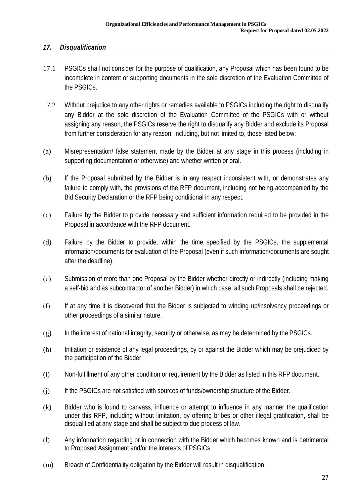#### *17. Disqualification*

- 17.1 PSGICs shall not consider for the purpose of qualification, any Proposal which has been found to be incomplete in content or supporting documents in the sole discretion of the Evaluation Committee of the PSGICs.
- 17.2 Without prejudice to any other rights or remedies available to PSGICs including the right to disqualify any Bidder at the sole discretion of the Evaluation Committee of the PSGICs with or without assigning any reason, the PSGICs reserve the right to disqualify any Bidder and exclude its Proposal from further consideration for any reason, including, but not limited to, those listed below:
- (a) Misrepresentation/ false statement made by the Bidder at any stage in this process (including in supporting documentation or otherwise) and whether written or oral.
- (b) If the Proposal submitted by the Bidder is in any respect inconsistent with, or demonstrates any failure to comply with, the provisions of the RFP document, including not being accompanied by the Bid Security Declaration or the RFP being conditional in any respect.
- (c) Failure by the Bidder to provide necessary and sufficient information required to be provided in the Proposal in accordance with the RFP document.
- (d) Failure by the Bidder to provide, within the time specified by the PSGICs, the supplemental information/documents for evaluation of the Proposal (even if such information/documents are sought after the deadline).
- (e) Submission of more than one Proposal by the Bidder whether directly or indirectly (including making a self-bid and as subcontractor of another Bidder) in which case, all such Proposals shall be rejected.
- (f) If at any time it is discovered that the Bidder is subjected to winding up/insolvency proceedings or other proceedings of a similar nature.
- $(g)$  In the interest of national integrity, security or otherwise, as may be determined by the PSGICs.
- (h) Initiation or existence of any legal proceedings, by or against the Bidder which may be prejudiced by the participation of the Bidder.
- (i) Non-fulfillment of any other condition or requirement by the Bidder as listed in this RFP document.
- (j) If the PSGICs are not satisfied with sources of funds/ownership structure of the Bidder.
- (k) Bidder who is found to canvass, influence or attempt to influence in any manner the qualification under this RFP, including without limitation, by offering bribes or other illegal gratification, shall be disqualified at any stage and shall be subject to due process of law.
- (l) Any information regarding or in connection with the Bidder which becomes known and is detrimental to Proposed Assignment and/or the interests of PSGICs.
- (m) Breach of Confidentiality obligation by the Bidder will result in disqualification.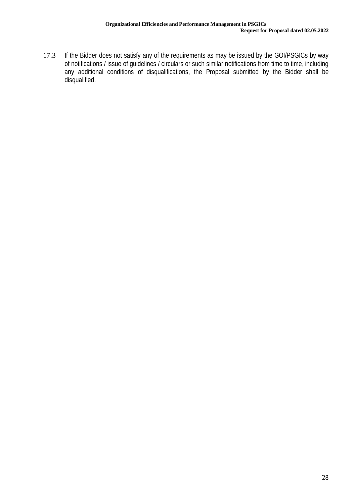17.3 If the Bidder does not satisfy any of the requirements as may be issued by the GOI/PSGICs by way of notifications / issue of guidelines / circulars or such similar notifications from time to time, including any additional conditions of disqualifications, the Proposal submitted by the Bidder shall be disqualified.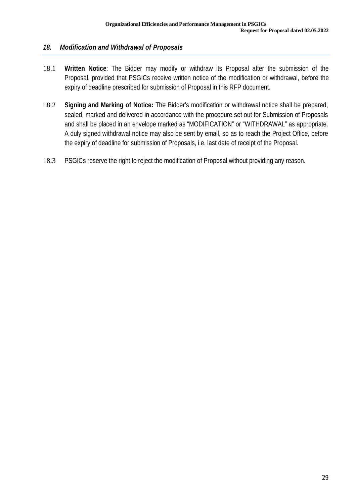#### *18. Modification and Withdrawal of Proposals*

- 18.1 **Written Notice**: The Bidder may modify or withdraw its Proposal after the submission of the Proposal, provided that PSGICs receive written notice of the modification or withdrawal, before the expiry of deadline prescribed for submission of Proposal in this RFP document.
- 18.2 **Signing and Marking of Notice:** The Bidder's modification or withdrawal notice shall be prepared, sealed, marked and delivered in accordance with the procedure set out for Submission of Proposals and shall be placed in an envelope marked as "MODIFICATION" or "WITHDRAWAL" as appropriate. A duly signed withdrawal notice may also be sent by email, so as to reach the Project Office, before the expiry of deadline for submission of Proposals, i.e. last date of receipt of the Proposal.
- 18.3 PSGICs reserve the right to reject the modification of Proposal without providing any reason.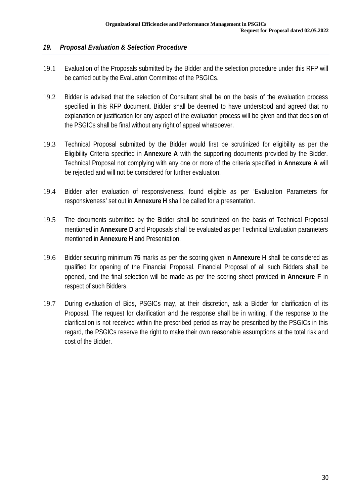#### *19. Proposal Evaluation & Selection Procedure*

- 19.1 Evaluation of the Proposals submitted by the Bidder and the selection procedure under this RFP will be carried out by the Evaluation Committee of the PSGICs.
- 19.2 Bidder is advised that the selection of Consultant shall be on the basis of the evaluation process specified in this RFP document. Bidder shall be deemed to have understood and agreed that no explanation or justification for any aspect of the evaluation process will be given and that decision of the PSGICs shall be final without any right of appeal whatsoever.
- 19.3 Technical Proposal submitted by the Bidder would first be scrutinized for eligibility as per the Eligibility Criteria specified in **Annexure A** with the supporting documents provided by the Bidder. Technical Proposal not complying with any one or more of the criteria specified in **Annexure A** will be rejected and will not be considered for further evaluation.
- 19.4 Bidder after evaluation of responsiveness, found eligible as per 'Evaluation Parameters for responsiveness' set out in **Annexure H** shall be called for a presentation.
- 19.5 The documents submitted by the Bidder shall be scrutinized on the basis of Technical Proposal mentioned in **Annexure D** and Proposals shall be evaluated as per Technical Evaluation parameters mentioned in **Annexure H** and Presentation.
- 19.6 Bidder securing minimum **75** marks as per the scoring given in **Annexure H** shall be considered as qualified for opening of the Financial Proposal. Financial Proposal of all such Bidders shall be opened, and the final selection will be made as per the scoring sheet provided in **Annexure F** in respect of such Bidders.
- 19.7 During evaluation of Bids, PSGICs may, at their discretion, ask a Bidder for clarification of its Proposal. The request for clarification and the response shall be in writing. If the response to the clarification is not received within the prescribed period as may be prescribed by the PSGICs in this regard, the PSGICs reserve the right to make their own reasonable assumptions at the total risk and cost of the Bidder.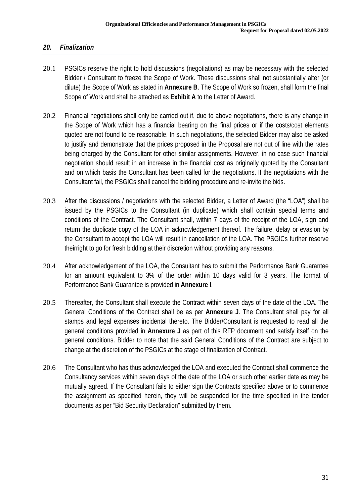#### *20. Finalization*

- 20.1 PSGICs reserve the right to hold discussions (negotiations) as may be necessary with the selected Bidder / Consultant to freeze the Scope of Work. These discussions shall not substantially alter (or dilute) the Scope of Work as stated in **Annexure B**. The Scope of Work so frozen, shall form the final Scope of Work and shall be attached as **Exhibit A** to the Letter of Award.
- 20.2 Financial negotiations shall only be carried out if, due to above negotiations, there is any change in the Scope of Work which has a financial bearing on the final prices or if the costs/cost elements quoted are not found to be reasonable. In such negotiations, the selected Bidder may also be asked to justify and demonstrate that the prices proposed in the Proposal are not out of line with the rates being charged by the Consultant for other similar assignments. However, in no case such financial negotiation should result in an increase in the financial cost as originally quoted by the Consultant and on which basis the Consultant has been called for the negotiations. If the negotiations with the Consultant fail, the PSGICs shall cancel the bidding procedure and re-invite the bids.
- 20.3 After the discussions / negotiations with the selected Bidder, a Letter of Award (the "LOA") shall be issued by the PSGICs to the Consultant (in duplicate) which shall contain special terms and conditions of the Contract. The Consultant shall, within 7 days of the receipt of the LOA, sign and return the duplicate copy of the LOA in acknowledgement thereof. The failure, delay or evasion by the Consultant to accept the LOA will result in cancellation of the LOA. The PSGICs further reserve theirright to go for fresh bidding at their discretion without providing any reasons.
- 20.4 After acknowledgement of the LOA, the Consultant has to submit the Performance Bank Guarantee for an amount equivalent to 3% of the order within 10 days valid for 3 years. The format of Performance Bank Guarantee is provided in **Annexure I**.
- 20.5 Thereafter, the Consultant shall execute the Contract within seven days of the date of the LOA. The General Conditions of the Contract shall be as per **Annexure J**. The Consultant shall pay for all stamps and legal expenses incidental thereto. The Bidder/Consultant is requested to read all the general conditions provided in **Annexure J** as part of this RFP document and satisfy itself on the general conditions. Bidder to note that the said General Conditions of the Contract are subject to change at the discretion of the PSGICs at the stage of finalization of Contract.
- 20.6 The Consultant who has thus acknowledged the LOA and executed the Contract shall commence the Consultancy services within seven days of the date of the LOA or such other earlier date as may be mutually agreed. If the Consultant fails to either sign the Contracts specified above or to commence the assignment as specified herein, they will be suspended for the time specified in the tender documents as per "Bid Security Declaration" submitted by them.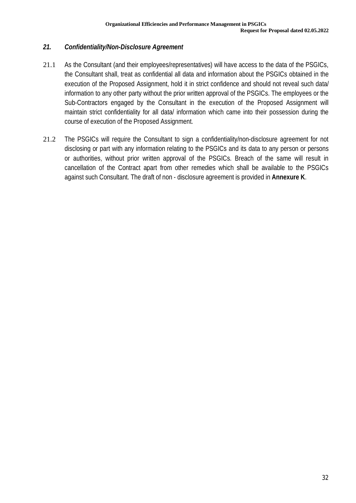#### *21. Confidentiality/Non-Disclosure Agreement*

- 21.1 As the Consultant (and their employees/representatives) will have access to the data of the PSGICs, the Consultant shall, treat as confidential all data and information about the PSGICs obtained in the execution of the Proposed Assignment, hold it in strict confidence and should not reveal such data/ information to any other party without the prior written approval of the PSGICs. The employees or the Sub-Contractors engaged by the Consultant in the execution of the Proposed Assignment will maintain strict confidentiality for all data/ information which came into their possession during the course of execution of the Proposed Assignment.
- 21.2 The PSGICs will require the Consultant to sign a confidentiality/non-disclosure agreement for not disclosing or part with any information relating to the PSGICs and its data to any person or persons or authorities, without prior written approval of the PSGICs. Breach of the same will result in cancellation of the Contract apart from other remedies which shall be available to the PSGICs against such Consultant. The draft of non - disclosure agreement is provided in **Annexure K**.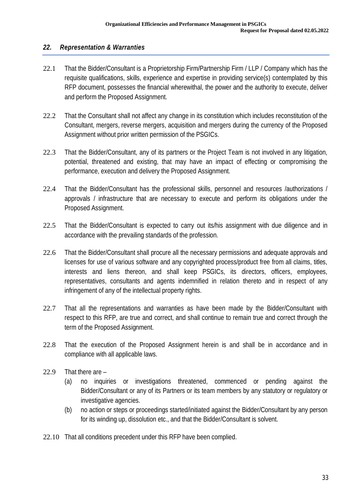#### *22. Representation & Warranties*

- 22.1 That the Bidder/Consultant is a Proprietorship Firm/Partnership Firm / LLP / Company which has the requisite qualifications, skills, experience and expertise in providing service(s) contemplated by this RFP document, possesses the financial wherewithal, the power and the authority to execute, deliver and perform the Proposed Assignment.
- 22.2 That the Consultant shall not affect any change in its constitution which includes reconstitution of the Consultant, mergers, reverse mergers, acquisition and mergers during the currency of the Proposed Assignment without prior written permission of the PSGICs.
- 22.3 That the Bidder/Consultant, any of its partners or the Project Team is not involved in any litigation, potential, threatened and existing, that may have an impact of effecting or compromising the performance, execution and delivery the Proposed Assignment.
- 22.4 That the Bidder/Consultant has the professional skills, personnel and resources /authorizations / approvals / infrastructure that are necessary to execute and perform its obligations under the Proposed Assignment.
- 22.5 That the Bidder/Consultant is expected to carry out its/his assignment with due diligence and in accordance with the prevailing standards of the profession.
- 22.6 That the Bidder/Consultant shall procure all the necessary permissions and adequate approvals and licenses for use of various software and any copyrighted process/product free from all claims, titles, interests and liens thereon, and shall keep PSGICs, its directors, officers, employees, representatives, consultants and agents indemnified in relation thereto and in respect of any infringement of any of the intellectual property rights.
- 22.7 That all the representations and warranties as have been made by the Bidder/Consultant with respect to this RFP, are true and correct, and shall continue to remain true and correct through the term of the Proposed Assignment.
- 22.8 That the execution of the Proposed Assignment herein is and shall be in accordance and in compliance with all applicable laws.
- 22.9 That there are
	- (a) no inquiries or investigations threatened, commenced or pending against the Bidder/Consultant or any of its Partners or its team members by any statutory or regulatory or investigative agencies.
	- (b) no action or steps or proceedings started/initiated against the Bidder/Consultant by any person for its winding up, dissolution etc., and that the Bidder/Consultant is solvent.
- 22.10 That all conditions precedent under this RFP have been complied.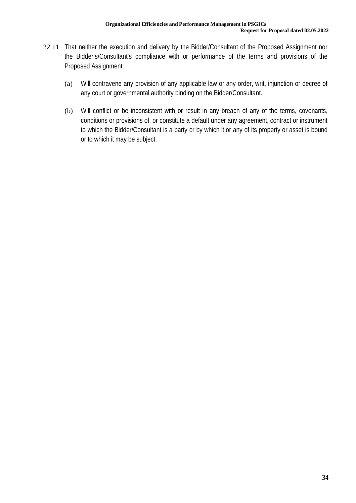- 22.11 That neither the execution and delivery by the Bidder/Consultant of the Proposed Assignment nor the Bidder's/Consultant's compliance with or performance of the terms and provisions of the Proposed Assignment:
	- (a) Will contravene any provision of any applicable law or any order, writ, injunction or decree of any court or governmental authority binding on the Bidder/Consultant.
	- (b) Will conflict or be inconsistent with or result in any breach of any of the terms, covenants, conditions or provisions of, or constitute a default under any agreement, contract or instrument to which the Bidder/Consultant is a party or by which it or any of its property or asset is bound or to which it may be subject.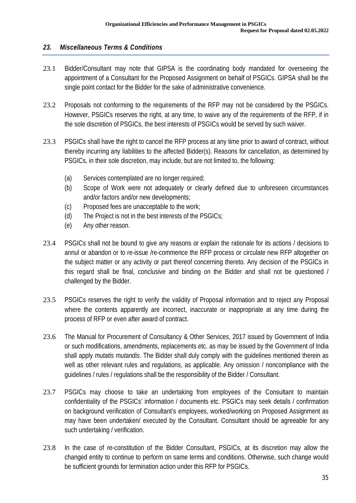#### *23. Miscellaneous Terms & Conditions*

- 23.1 Bidder/Consultant may note that GIPSA is the coordinating body mandated for overseeing the appointment of a Consultant for the Proposed Assignment on behalf of PSGICs. GIPSA shall be the single point contact for the Bidder for the sake of administrative convenience.
- 23.2 Proposals not conforming to the requirements of the RFP may not be considered by the PSGICs. However, PSGICs reserves the right, at any time, to waive any of the requirements of the RFP, if in the sole discretion of PSGICs, the best interests of PSGICs would be served by such waiver.
- 23.3 PSGICs shall have the right to cancel the RFP process at any time prior to award of contract, without thereby incurring any liabilities to the affected Bidder(s). Reasons for cancellation, as determined by PSGICs, in their sole discretion, may include, but are not limited to, the following:
	- (a) Services contemplated are no longer required;
	- (b) Scope of Work were not adequately or clearly defined due to unforeseen circumstances and/or factors and/or new developments;
	- (c) Proposed fees are unacceptable to the work;
	- (d) The Project is not in the best interests of the PSGICs;
	- (e) Any other reason.
- 23.4 PSGICs shall not be bound to give any reasons or explain the rationale for its actions / decisions to annul or abandon or to re-issue /re-commence the RFP process or circulate new RFP altogether on the subject matter or any activity or part thereof concerning thereto. Any decision of the PSGICs in this regard shall be final, conclusive and binding on the Bidder and shall not be questioned / challenged by the Bidder.
- 23.5 PSGICs reserves the right to verify the validity of Proposal information and to reject any Proposal where the contents apparently are incorrect, inaccurate or inappropriate at any time during the process of RFP or even after award of contract.
- 23.6 The Manual for Procurement of Consultancy & Other Services, 2017 issued by Government of India or such modifications, amendments, replacements etc. as may be issued by the Government of India shall apply *mutatis mutandis*. The Bidder shall duly comply with the guidelines mentioned therein as well as other relevant rules and regulations, as applicable. Any omission / noncompliance with the guidelines / rules / regulations shall be the responsibility of the Bidder / Consultant.
- 23.7 PSGICs may choose to take an undertaking from employees of the Consultant to maintain confidentiality of the PSGICs' information / documents etc. PSGICs may seek details / confirmation on background verification of Consultant's employees, worked/working on Proposed Assignment as may have been undertaken/ executed by the Consultant. Consultant should be agreeable for any such undertaking / verification.
- 23.8 In the case of re-constitution of the Bidder Consultant, PSGICs, at its discretion may allow the changed entity to continue to perform on same terms and conditions. Otherwise, such change would be sufficient grounds for termination action under this RFP for PSGICs.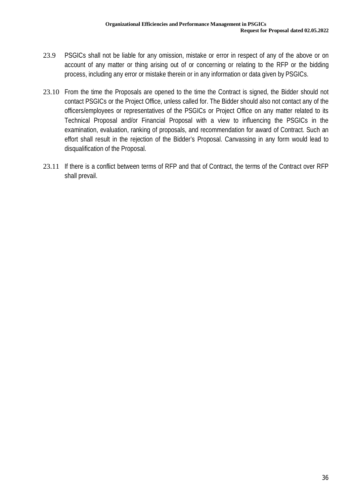- 23.9 PSGICs shall not be liable for any omission, mistake or error in respect of any of the above or on account of any matter or thing arising out of or concerning or relating to the RFP or the bidding process, including any error or mistake therein or in any information or data given by PSGICs.
- 23.10 From the time the Proposals are opened to the time the Contract is signed, the Bidder should not contact PSGICs or the Project Office, unless called for. The Bidder should also not contact any of the officers/employees or representatives of the PSGICs or Project Office on any matter related to its Technical Proposal and/or Financial Proposal with a view to influencing the PSGICs in the examination, evaluation, ranking of proposals, and recommendation for award of Contract. Such an effort shall result in the rejection of the Bidder's Proposal. Canvassing in any form would lead to disqualification of the Proposal.
- 23.11 If there is a conflict between terms of RFP and that of Contract, the terms of the Contract over RFP shall prevail.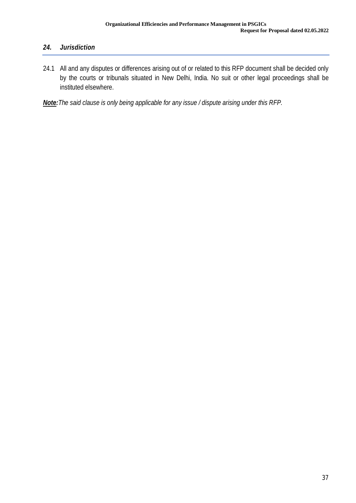# *24. Jurisdiction*

24.1 All and any disputes or differences arising out of or related to this RFP document shall be decided only by the courts or tribunals situated in New Delhi, India. No suit or other legal proceedings shall be instituted elsewhere.

*Note:The said clause is only being applicable for any issue / dispute arising under this RFP.*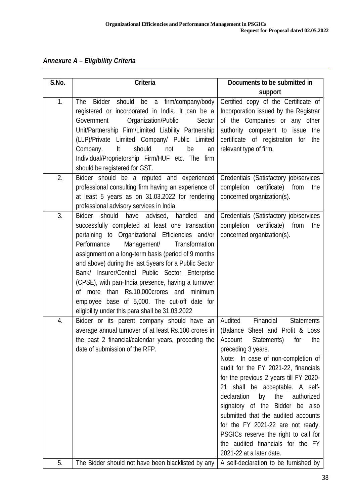*Annexure A – Eligibility Criteria* 

| S.No. | <b>Criteria</b>                                                                                                                                                                                                                                                                                                                                                                                                                                                                                                                                                                   | Documents to be submitted in                                                                                                                                                                                                                                                                                                                                                                                                                                                                                                                                                |
|-------|-----------------------------------------------------------------------------------------------------------------------------------------------------------------------------------------------------------------------------------------------------------------------------------------------------------------------------------------------------------------------------------------------------------------------------------------------------------------------------------------------------------------------------------------------------------------------------------|-----------------------------------------------------------------------------------------------------------------------------------------------------------------------------------------------------------------------------------------------------------------------------------------------------------------------------------------------------------------------------------------------------------------------------------------------------------------------------------------------------------------------------------------------------------------------------|
|       |                                                                                                                                                                                                                                                                                                                                                                                                                                                                                                                                                                                   | support                                                                                                                                                                                                                                                                                                                                                                                                                                                                                                                                                                     |
| 1.    | Bidder should be<br>firm/company/body<br>The<br>a<br>registered or incorporated in India. It can be a<br>Organization/Public<br>Government<br>Sector<br>Unit/Partnership Firm/Limited Liability Partnership<br>(LLP)/Private Limited Company/ Public Limited<br>should<br>It<br>be<br>Company.<br>not<br>an<br>Individual/Proprietorship Firm/HUF etc. The firm<br>should be registered for GST.                                                                                                                                                                                  | Certified copy of the Certificate of<br>Incorporation issued by the Registrar<br>of the Companies or any other<br>authority competent to issue the<br>certificate of registration for<br>the<br>relevant type of firm.                                                                                                                                                                                                                                                                                                                                                      |
| 2.    | Bidder should be a reputed and experienced<br>professional consulting firm having an experience of<br>at least 5 years as on 31.03.2022 for rendering<br>professional advisory services in India.                                                                                                                                                                                                                                                                                                                                                                                 | Credentials (Satisfactory job/services<br>completion certificate) from<br>the<br>concerned organization(s).                                                                                                                                                                                                                                                                                                                                                                                                                                                                 |
| 3.    | Bidder should<br>have<br>advised, handled<br>and<br>successfully completed at least one transaction<br>pertaining to Organizational Efficiencies and/or<br>Performance<br>Management/<br>Transformation<br>assignment on a long-term basis (period of 9 months<br>and above) during the last 5years for a Public Sector<br>Bank/ Insurer/Central Public Sector Enterprise<br>(CPSE), with pan-India presence, having a turnover<br>of more than Rs.10,000crores and<br>minimum<br>employee base of 5,000. The cut-off date for<br>eligibility under this para shall be 31.03.2022 | Credentials (Satisfactory job/services<br>completion certificate) from<br>the<br>concerned organization(s).                                                                                                                                                                                                                                                                                                                                                                                                                                                                 |
| 4.    | Bidder or its parent company should have an<br>average annual turnover of at least Rs.100 crores in<br>the past 2 financial/calendar years, preceding the<br>date of submission of the RFP.                                                                                                                                                                                                                                                                                                                                                                                       | Audited<br>Financial<br><b>Statements</b><br>(Balance Sheet and Profit & Loss<br>Account<br>Statements)<br>for<br>the<br>preceding 3 years.<br>Note: In case of non-completion of<br>audit for the FY 2021-22, financials<br>for the previous 2 years till FY 2020-<br>shall be acceptable. A self-<br>21<br>declaration<br>the<br>authorized<br>by<br>signatory of the Bidder be also<br>submitted that the audited accounts<br>for the FY 2021-22 are not ready.<br>PSGICs reserve the right to call for<br>the audited financials for the FY<br>2021-22 at a later date. |
| 5.    | The Bidder should not have been blacklisted by any                                                                                                                                                                                                                                                                                                                                                                                                                                                                                                                                | A self-declaration to be furnished by                                                                                                                                                                                                                                                                                                                                                                                                                                                                                                                                       |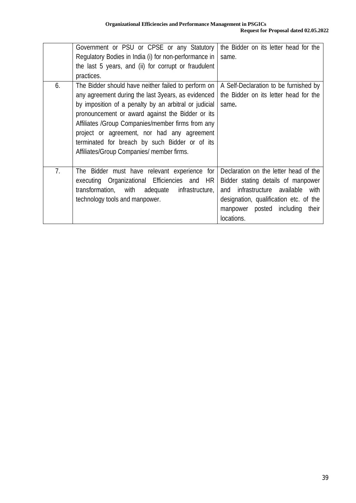|    | Government or PSU or CPSE or any Statutory<br>Regulatory Bodies in India (i) for non-performance in<br>the last 5 years, and (ii) for corrupt or fraudulent<br>practices.                                                                                                                                                                                                                                                  | the Bidder on its letter head for the<br>same.                                                                                                                                                                          |
|----|----------------------------------------------------------------------------------------------------------------------------------------------------------------------------------------------------------------------------------------------------------------------------------------------------------------------------------------------------------------------------------------------------------------------------|-------------------------------------------------------------------------------------------------------------------------------------------------------------------------------------------------------------------------|
| 6. | The Bidder should have neither failed to perform on<br>any agreement during the last 3years, as evidenced<br>by imposition of a penalty by an arbitral or judicial<br>pronouncement or award against the Bidder or its<br>Affiliates / Group Companies/member firms from any<br>project or agreement, nor had any agreement<br>terminated for breach by such Bidder or of its<br>Affiliates/Group Companies/ member firms. | A Self-Declaration to be furnished by<br>the Bidder on its letter head for the<br>same.                                                                                                                                 |
| 7. | The Bidder must have relevant experience<br>for<br>executing Organizational Efficiencies and HR<br>transformation, with adequate<br>infrastructure,<br>technology tools and manpower.                                                                                                                                                                                                                                      | Declaration on the letter head of the<br>Bidder stating details of manpower<br>infrastructure available<br>with<br>and<br>designation, qualification etc. of the<br>manpower posted<br>including<br>their<br>locations. |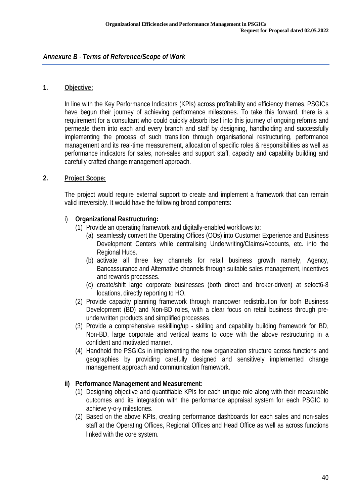#### **1. Objective:**

In line with the Key Performance Indicators (KPIs) across profitability and efficiency themes, PSGICs have begun their journey of achieving performance milestones. To take this forward, there is a requirement for a consultant who could quickly absorb itself into this journey of ongoing reforms and permeate them into each and every branch and staff by designing, handholding and successfully implementing the process of such transition through organisational restructuring, performance management and its real-time measurement, allocation of specific roles & responsibilities as well as performance indicators for sales, non-sales and support staff, capacity and capability building and carefully crafted change management approach.

#### **2. Project Scope:**

The project would require external support to create and implement a framework that can remain valid irreversibly. It would have the following broad components:

#### i) **Organizational Restructuring:**

- (1) Provide an operating framework and digitally-enabled workflows to:
	- (a) seamlessly convert the Operating Offices (OOs) into Customer Experience and Business Development Centers while centralising Underwriting/Claims/Accounts, etc. into the Regional Hubs.
	- (b) activate all three key channels for retail business growth namely, Agency, Bancassurance and Alternative channels through suitable sales management, incentives and rewards processes.
	- (c) create/shift large corporate businesses (both direct and broker-driven) at select6-8 locations, directly reporting to HO.
- (2) Provide capacity planning framework through manpower redistribution for both Business Development (BD) and Non-BD roles, with a clear focus on retail business through preunderwritten products and simplified processes.
- (3) Provide a comprehensive reskilling/up skilling and capability building framework for BD, Non-BD, large corporate and vertical teams to cope with the above restructuring in a confident and motivated manner.
- (4) Handhold the PSGICs in implementing the new organization structure across functions and geographies by providing carefully designed and sensitively implemented change management approach and communication framework.

#### **ii) Performance Management and Measurement:**

- (1) Designing objective and quantifiable KPIs for each unique role along with their measurable outcomes and its integration with the performance appraisal system for each PSGIC to achieve y-o-y milestones.
- (2) Based on the above KPIs, creating performance dashboards for each sales and non-sales staff at the Operating Offices, Regional Offices and Head Office as well as across functions linked with the core system.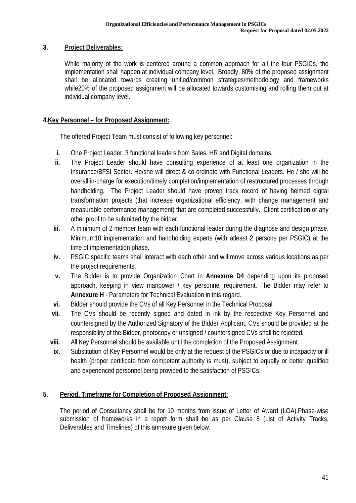### **3. Project Deliverables:**

While majority of the work is centered around a common approach for all the four PSGICs, the implementation shall happen at individual company level. Broadly, 80% of the proposed assignment shall be allocated towards creating unified/common strategies/methodology and frameworks while20% of the proposed assignment will be allocated towards customising and rolling them out at individual company level.

### **4.Key Personnel – for Proposed Assignment:**

The offered Project Team must consist of following key personnel:

- **i.** One Project Leader, 3 functional leaders from Sales, HR and Digital domains.
- **ii.** The Project Leader should have consulting experience of at least one organization in the Insurance/BFSI Sector. He/she will direct & co-ordinate with Functional Leaders. He / she will be overall in-charge for execution/timely completion/implementation of restructured processes through handholding. The Project Leader should have proven track record of having helmed digital transformation projects (that increase organizational efficiency, with change management and measurable performance management) that are completed successfully. Client certification or any other proof to be submitted by the bidder.
- **iii.** A minimum of 2 member team with each functional leader during the diagnose and design phase. Minimum10 implementation and handholding experts (with atleast 2 persons per PSGIC) at the time of implementation phase.
- **iv.** PSGIC specific teams shall interact with each other and will move across various locations as per the project requirements.
- **v.** The Bidder is to provide Organization Chart in **Annexure D4** depending upon its proposed approach, keeping in view manpower / key personnel requirement. The Bidder may refer to **Annexure H** - Parameters for Technical Evaluation in this regard.
- **vi.** Bidder should provide the CVs of all Key Personnel in the Technical Proposal.
- **vii.** The CVs should be recently signed and dated in ink by the respective Key Personnel and countersigned by the Authorized Signatory of the Bidder Applicant. CVs should be provided at the responsibility of the Bidder, photocopy or unsigned / countersigned CVs shall be rejected.
- **viii.** All Key Personnel should be available until the completion of the Proposed Assignment.
- **ix.** Substitution of Key Personnel would be only at the request of the PSGICs or due to incapacity or ill health (proper certificate from competent authority is must), subject to equally or better qualified and experienced personnel being provided to the satisfaction of PSGICs.

#### **5. Period, Timeframe for Completion of Proposed Assignment:**

The period of Consultancy shall be for 10 months from issue of Letter of Award (LOA).Phase-wise submission of frameworks in a report form shall be as per Clause 8 (List of Activity Tracks, Deliverables and Timelines) of this annexure given below.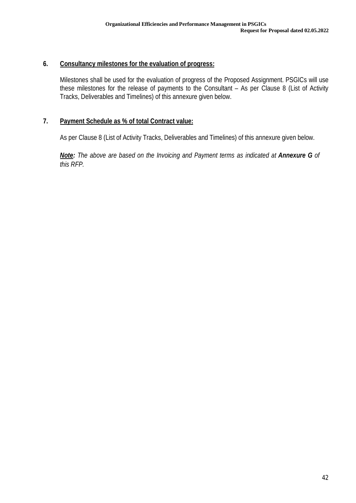#### **6. Consultancy milestones for the evaluation of progress:**

Milestones shall be used for the evaluation of progress of the Proposed Assignment. PSGICs will use these milestones for the release of payments to the Consultant – As per Clause 8 (List of Activity Tracks, Deliverables and Timelines) of this annexure given below.

#### **7. Payment Schedule as % of total Contract value:**

As per Clause 8 (List of Activity Tracks, Deliverables and Timelines) of this annexure given below.

*Note: The above are based on the Invoicing and Payment terms as indicated at Annexure G of this RFP.*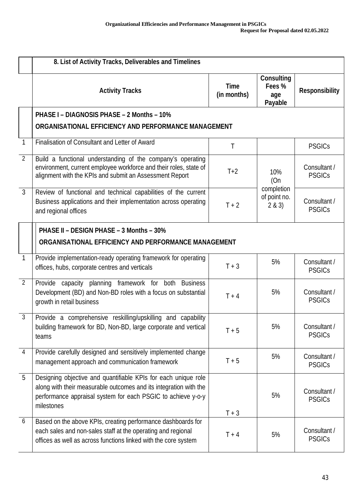|                | 8. List of Activity Tracks, Deliverables and Timelines                                                                                                                                                            |                            |                                               |                               |  |
|----------------|-------------------------------------------------------------------------------------------------------------------------------------------------------------------------------------------------------------------|----------------------------|-----------------------------------------------|-------------------------------|--|
|                | <b>Activity Tracks</b>                                                                                                                                                                                            | <b>Time</b><br>(in months) | <b>Consulting</b><br>Fees %<br>age<br>Payable | <b>Responsibility</b>         |  |
|                | <b>PHASE I - DIAGNOSIS PHASE - 2 Months - 10%</b><br>ORGANISATIONAL EFFICIENCY AND PERFORMANCE MANAGEMENT                                                                                                         |                            |                                               |                               |  |
| 1              | Finalisation of Consultant and Letter of Award                                                                                                                                                                    | T                          |                                               | <b>PSGICs</b>                 |  |
| $\overline{2}$ | Build a functional understanding of the company's operating<br>environment, current employee workforce and their roles, state of<br>alignment with the KPIs and submit an Assessment Report                       | $T+2$                      | 10%<br>(On                                    | Consultant /<br><b>PSGICs</b> |  |
| $\overline{3}$ | Review of functional and technical capabilities of the current<br>Business applications and their implementation across operating<br>and regional offices                                                         | $T + 2$                    | completion<br>of point no.<br>2 & 3)          | Consultant /<br><b>PSGICs</b> |  |
|                | <b>PHASE II - DESIGN PHASE - 3 Months - 30%</b><br>ORGANISATIONAL EFFICIENCY AND PERFORMANCE MANAGEMENT                                                                                                           |                            |                                               |                               |  |
| 1              | Provide implementation-ready operating framework for operating<br>offices, hubs, corporate centres and verticals                                                                                                  | $T + 3$                    | 5%                                            | Consultant /<br><b>PSGICs</b> |  |
| $\overline{2}$ | Provide capacity planning framework for both Business<br>Development (BD) and Non-BD roles with a focus on substantial<br>growth in retail business                                                               | $T + 4$                    | 5%                                            | Consultant /<br><b>PSGICs</b> |  |
| $\mathfrak{Z}$ | Provide a comprehensive reskilling/upskilling and capability<br>building framework for BD, Non-BD, large corporate and vertical<br>teams                                                                          | $T + 5$                    | 5%                                            | Consultant /<br><b>PSGICs</b> |  |
| $\overline{4}$ | Provide carefully designed and sensitively implemented change<br>management approach and communication framework                                                                                                  | $T + 5$                    | 5%                                            | Consultant /<br><b>PSGICs</b> |  |
| 5              | Designing objective and quantifiable KPIs for each unique role<br>along with their measurable outcomes and its integration with the<br>performance appraisal system for each PSGIC to achieve y-o-y<br>milestones | $T + 3$                    | 5%                                            | Consultant /<br><b>PSGICs</b> |  |
| 6              | Based on the above KPIs, creating performance dashboards for<br>each sales and non-sales staff at the operating and regional<br>offices as well as across functions linked with the core system                   | $T + 4$                    | 5%                                            | Consultant /<br><b>PSGICs</b> |  |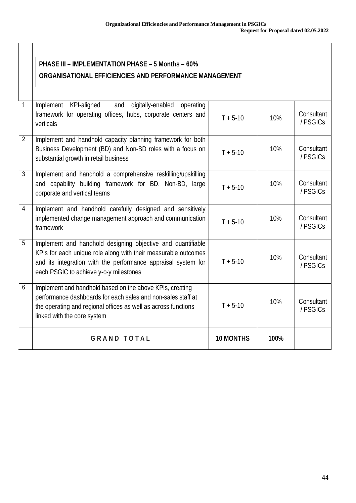# **PHASE III – IMPLEMENTATION PHASE – 5 Months – 60% ORGANISATIONAL EFFICIENCIES AND PERFORMANCE MANAGEMENT**

| $\mathbf{1}$   | Implement KPI-aligned<br>and<br>digitally-enabled operating<br>framework for operating offices, hubs, corporate centers and<br>verticals                                                                                                 | $T + 5-10$       | 10%  | Consultant<br>/ PSGICs |
|----------------|------------------------------------------------------------------------------------------------------------------------------------------------------------------------------------------------------------------------------------------|------------------|------|------------------------|
| $\overline{2}$ | Implement and handhold capacity planning framework for both<br>Business Development (BD) and Non-BD roles with a focus on<br>substantial growth in retail business                                                                       | $T + 5-10$       | 10%  | Consultant<br>/ PSGICs |
| $\mathbf{3}$   | Implement and handhold a comprehensive reskilling/upskilling<br>and capability building framework for BD, Non-BD, large<br>corporate and vertical teams                                                                                  | $T + 5-10$       | 10%  | Consultant<br>/ PSGICs |
| $\overline{4}$ | Implement and handhold carefully designed and sensitively<br>implemented change management approach and communication<br>framework                                                                                                       | $T + 5-10$       | 10%  | Consultant<br>/ PSGICs |
| 5              | Implement and handhold designing objective and quantifiable<br>KPIs for each unique role along with their measurable outcomes<br>and its integration with the performance appraisal system for<br>each PSGIC to achieve y-o-y milestones | $T + 5 - 10$     | 10%  | Consultant<br>/ PSGICs |
| 6              | Implement and handhold based on the above KPIs, creating<br>performance dashboards for each sales and non-sales staff at<br>the operating and regional offices as well as across functions<br>linked with the core system                | $T + 5-10$       | 10%  | Consultant<br>/ PSGICs |
|                | <b>GRAND TOTAL</b>                                                                                                                                                                                                                       | <b>10 MONTHS</b> | 100% |                        |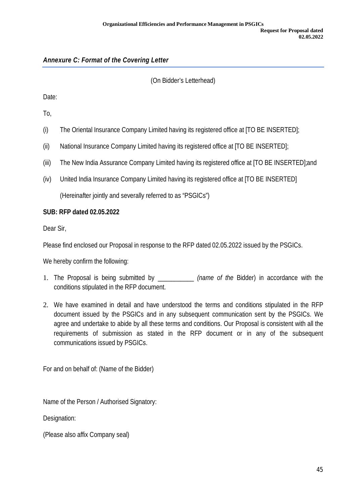## (On Bidder's Letterhead)

Date:

To,

- (i) The Oriental Insurance Company Limited having its registered office at [TO BE INSERTED];
- (ii) National Insurance Company Limited having its registered office at [TO BE INSERTED];
- (iii) The New India Assurance Company Limited having its registered office at [TO BE INSERTED];and
- (iv) United India Insurance Company Limited having its registered office at [TO BE INSERTED]

(Hereinafter jointly and severally referred to as "PSGICs")

### **SUB: RFP dated 02.05.2022**

Dear Sir,

Please find enclosed our Proposal in response to the RFP dated 02.05.2022 issued by the PSGICs.

We hereby confirm the following:

- 1. The Proposal is being submitted by \_\_\_\_\_\_\_\_\_\_\_ *(name of the* Bidder) in accordance with the conditions stipulated in the RFP document.
- 2. We have examined in detail and have understood the terms and conditions stipulated in the RFP document issued by the PSGICs and in any subsequent communication sent by the PSGICs. We agree and undertake to abide by all these terms and conditions. Our Proposal is consistent with all the requirements of submission as stated in the RFP document or in any of the subsequent communications issued by PSGICs.

For and on behalf of: (Name of the Bidder)

Name of the Person / Authorised Signatory:

Designation:

(Please also affix Company seal)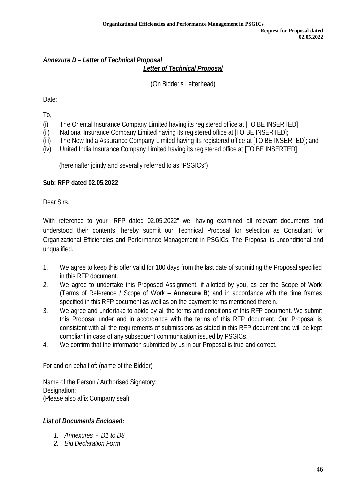# *Annexure D – Letter of Technical Proposal Letter of Technical Proposal*

(On Bidder's Letterhead)

Date:

To,

- (i) The Oriental Insurance Company Limited having its registered office at [TO BE INSERTED]
- (ii) National Insurance Company Limited having its registered office at [TO BE INSERTED];
- (iii) The New India Assurance Company Limited having its registered office at [TO BE INSERTED]; and
- (iv) United India Insurance Company Limited having its registered office at [TO BE INSERTED]

(hereinafter jointly and severally referred to as "PSGICs")

### **Sub: RFP dated 02.05.2022**

Dear Sirs,

With reference to your "RFP dated 02.05.2022" we, having examined all relevant documents and understood their contents, hereby submit our Technical Proposal for selection as Consultant for Organizational Efficiencies and Performance Management in PSGICs. The Proposal is unconditional and unqualified.

- 1. We agree to keep this offer valid for 180 days from the last date of submitting the Proposal specified in this RFP document.
- 2. We agree to undertake this Proposed Assignment, if allotted by you, as per the Scope of Work (Terms of Reference / Scope of Work – **Annexure B**) and in accordance with the time frames specified in this RFP document as well as on the payment terms mentioned therein.
- 3. We agree and undertake to abide by all the terms and conditions of this RFP document. We submit this Proposal under and in accordance with the terms of this RFP document. Our Proposal is consistent with all the requirements of submissions as stated in this RFP document and will be kept compliant in case of any subsequent communication issued by PSGICs.
- 4. We confirm that the information submitted by us in our Proposal is true and correct.

For and on behalf of: (name of the Bidder)

Name of the Person / Authorised Signatory: Designation: (Please also affix Company seal)

## *List of Documents Enclosed:*

- *1. Annexures D1 to D8*
- *2. Bid Declaration Form*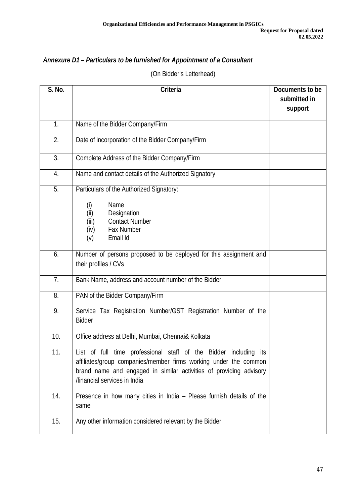# *Annexure D1 – Particulars to be furnished for Appointment of a Consultant*

(On Bidder's Letterhead)

| <b>S. No.</b> | <b>Criteria</b>                                                                 | Documents to be |
|---------------|---------------------------------------------------------------------------------|-----------------|
|               |                                                                                 | submitted in    |
|               |                                                                                 | support         |
| 1.            | Name of the Bidder Company/Firm                                                 |                 |
| 2.            | Date of incorporation of the Bidder Company/Firm                                |                 |
| 3.            | Complete Address of the Bidder Company/Firm                                     |                 |
| 4.            | Name and contact details of the Authorized Signatory                            |                 |
| 5.            | Particulars of the Authorized Signatory:                                        |                 |
|               | Name<br>(i)                                                                     |                 |
|               | (i)<br>Designation                                                              |                 |
|               | <b>Contact Number</b><br>(iii)                                                  |                 |
|               | Fax Number<br>(iv)<br>(v)<br>Email Id                                           |                 |
|               |                                                                                 |                 |
| 6.            | Number of persons proposed to be deployed for this assignment and               |                 |
|               | their profiles / CVs                                                            |                 |
| 7.            | Bank Name, address and account number of the Bidder                             |                 |
| 8.            | PAN of the Bidder Company/Firm                                                  |                 |
| 9.            | Service Tax Registration Number/GST Registration Number of the<br><b>Bidder</b> |                 |
| 10.           | Office address at Delhi, Mumbai, Chennai& Kolkata                               |                 |
| 11.           | List of full time professional staff of the Bidder including its                |                 |
|               | affiliates/group companies/member firms working under the common                |                 |
|               | brand name and engaged in similar activities of providing advisory              |                 |
|               | /financial services in India                                                    |                 |
| 14.           | Presence in how many cities in India - Please furnish details of the<br>same    |                 |
| 15.           | Any other information considered relevant by the Bidder                         |                 |
|               |                                                                                 |                 |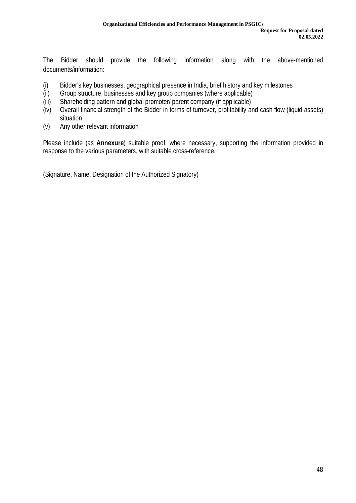The Bidder should provide the following information along with the above-mentioned documents/information:

- (i) Bidder's key businesses, geographical presence in India, brief history and key milestones
- (ii) Group structure, businesses and key group companies (where applicable)
- (iii) Shareholding pattern and global promoter/ parent company (if applicable)
- (iv) Overall financial strength of the Bidder in terms of turnover, profitability and cash flow (liquid assets) situation
- (v) Any other relevant information

Please include (as **Annexure**) suitable proof, where necessary, supporting the information provided in response to the various parameters, with suitable cross-reference.

(Signature, Name, Designation of the Authorized Signatory)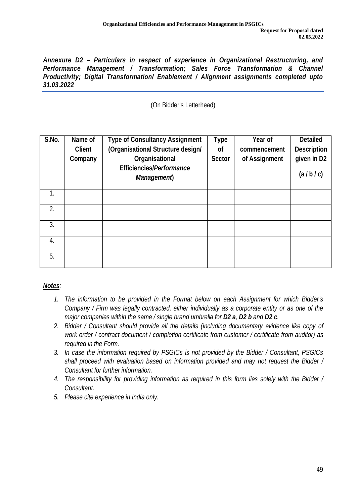*Annexure D2 – Particulars in respect of experience in Organizational Restructuring, and Performance Management / Transformation; Sales Force Transformation & Channel Productivity; Digital Transformation/ Enablement / Alignment assignments completed upto 31.03.2022*

(On Bidder's Letterhead)

| S.No. | Name of<br><b>Client</b><br>Company | <b>Type of Consultancy Assignment</b><br>(Organisational Structure design/<br><b>Organisational</b><br><b>Efficiencies/Performance</b><br>Management) | <b>Type</b><br><b>of</b><br><b>Sector</b> | <b>Year of</b><br>commencement<br>of Assignment | <b>Detailed</b><br><b>Description</b><br>given in D2<br>(a/b/c) |
|-------|-------------------------------------|-------------------------------------------------------------------------------------------------------------------------------------------------------|-------------------------------------------|-------------------------------------------------|-----------------------------------------------------------------|
| 1.    |                                     |                                                                                                                                                       |                                           |                                                 |                                                                 |
| 2.    |                                     |                                                                                                                                                       |                                           |                                                 |                                                                 |
| 3.    |                                     |                                                                                                                                                       |                                           |                                                 |                                                                 |
| 4.    |                                     |                                                                                                                                                       |                                           |                                                 |                                                                 |
| 5.    |                                     |                                                                                                                                                       |                                           |                                                 |                                                                 |

# *Notes:*

- *1. The information to be provided in the Format below on each Assignment for which Bidder's Company / Firm was legally contracted, either individually as a corporate entity or as one of the major companies within the same / single brand umbrella for D2 a, D2 b and D2 c.*
- *2. Bidder / Consultant should provide all the details (including documentary evidence like copy of work order / contract document / completion certificate from customer / certificate from auditor) as required in the Form.*
- *3. In case the information required by PSGICs is not provided by the Bidder / Consultant, PSGICs shall proceed with evaluation based on information provided and may not request the Bidder / Consultant for further information.*
- *4. The responsibility for providing information as required in this form lies solely with the Bidder / Consultant.*
- *5. Please cite experience in India only.*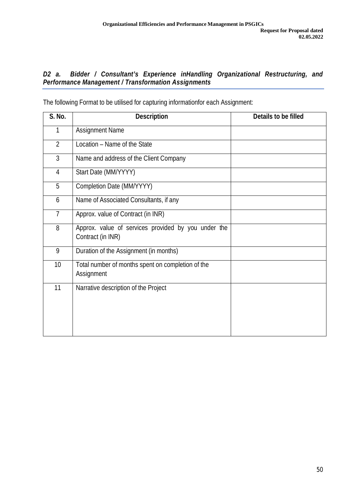### *D2 a. Bidder / Consultant's Experience inHandling Organizational Restructuring, and Performance Management / Transformation Assignments*

| <b>S. No.</b>  | <b>Description</b>                                                       | Details to be filled |
|----------------|--------------------------------------------------------------------------|----------------------|
| 1              | <b>Assignment Name</b>                                                   |                      |
| $\overline{2}$ | Location - Name of the State                                             |                      |
| $\overline{3}$ | Name and address of the Client Company                                   |                      |
| 4              | Start Date (MM/YYYY)                                                     |                      |
| 5              | Completion Date (MM/YYYY)                                                |                      |
| 6              | Name of Associated Consultants, if any                                   |                      |
| $\overline{7}$ | Approx. value of Contract (in INR)                                       |                      |
| 8              | Approx. value of services provided by you under the<br>Contract (in INR) |                      |
| 9              | Duration of the Assignment (in months)                                   |                      |
| 10             | Total number of months spent on completion of the<br>Assignment          |                      |
| 11             | Narrative description of the Project                                     |                      |

The following Format to be utilised for capturing informationfor each Assignment: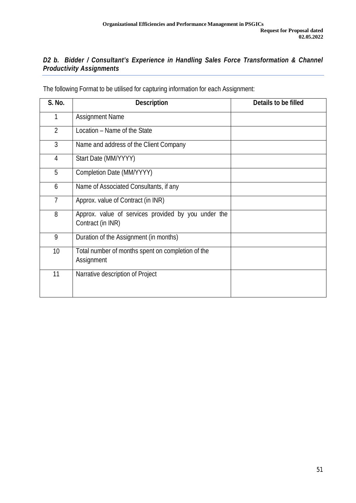# *D2 b. Bidder / Consultant's Experience in Handling Sales Force Transformation & Channel Productivity Assignments*

| <b>S. No.</b>  | <b>Description</b>                                                       | Details to be filled |
|----------------|--------------------------------------------------------------------------|----------------------|
| 1              | <b>Assignment Name</b>                                                   |                      |
| $\overline{2}$ | Location - Name of the State                                             |                      |
| 3              | Name and address of the Client Company                                   |                      |
| 4              | Start Date (MM/YYYY)                                                     |                      |
| 5              | Completion Date (MM/YYYY)                                                |                      |
| 6              | Name of Associated Consultants, if any                                   |                      |
| 7              | Approx. value of Contract (in INR)                                       |                      |
| 8              | Approx. value of services provided by you under the<br>Contract (in INR) |                      |
| 9              | Duration of the Assignment (in months)                                   |                      |
| 10             | Total number of months spent on completion of the<br>Assignment          |                      |
| 11             | Narrative description of Project                                         |                      |

The following Format to be utilised for capturing information for each Assignment: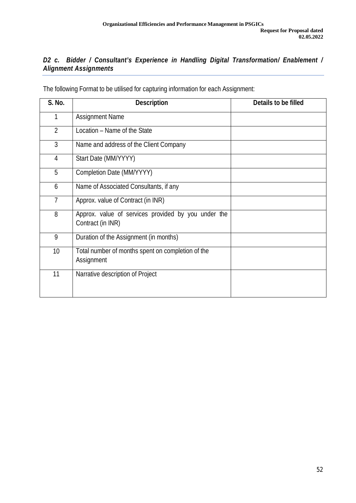# *D2 c. Bidder / Consultant's Experience in Handling Digital Transformation/ Enablement / Alignment Assignments*

| <b>S. No.</b>   | <b>Description</b>                                                       | <b>Details to be filled</b> |
|-----------------|--------------------------------------------------------------------------|-----------------------------|
| 1               | <b>Assignment Name</b>                                                   |                             |
| $\overline{2}$  | Location - Name of the State                                             |                             |
| 3               | Name and address of the Client Company                                   |                             |
| 4               | Start Date (MM/YYYY)                                                     |                             |
| 5               | Completion Date (MM/YYYY)                                                |                             |
| 6               | Name of Associated Consultants, if any                                   |                             |
| 7               | Approx. value of Contract (in INR)                                       |                             |
| 8               | Approx. value of services provided by you under the<br>Contract (in INR) |                             |
| 9               | Duration of the Assignment (in months)                                   |                             |
| 10 <sup>1</sup> | Total number of months spent on completion of the<br>Assignment          |                             |
| 11              | Narrative description of Project                                         |                             |

The following Format to be utilised for capturing information for each Assignment: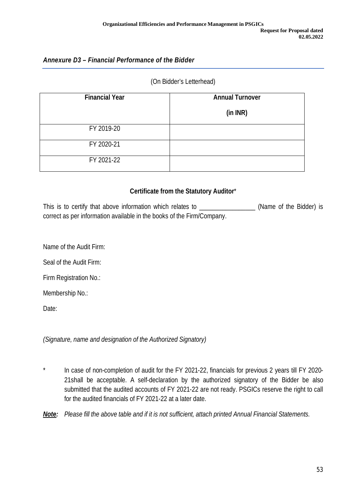### *Annexure D3 – Financial Performance of the Bidder*

#### (On Bidder's Letterhead)

| <b>Financial Year</b> | <b>Annual Turnover</b> |
|-----------------------|------------------------|
|                       | (in INR)               |
| FY 2019-20            |                        |
| FY 2020-21            |                        |
| FY 2021-22            |                        |

#### **Certificate from the Statutory Auditor**\*

This is to certify that above information which relates to **Example 20** (Name of the Bidder) is correct as per information available in the books of the Firm/Company.

Name of the Audit Firm:

Seal of the Audit Firm:

Firm Registration No.:

Membership No.:

Date:

*(Signature, name and designation of the Authorized Signatory)*

\* In case of non-completion of audit for the FY 2021-22, financials for previous 2 years till FY 2020- 21shall be acceptable. A self-declaration by the authorized signatory of the Bidder be also submitted that the audited accounts of FY 2021-22 are not ready. PSGICs reserve the right to call for the audited financials of FY 2021-22 at a later date.

*Note: Please fill the above table and if it is not sufficient, attach printed Annual Financial Statements.*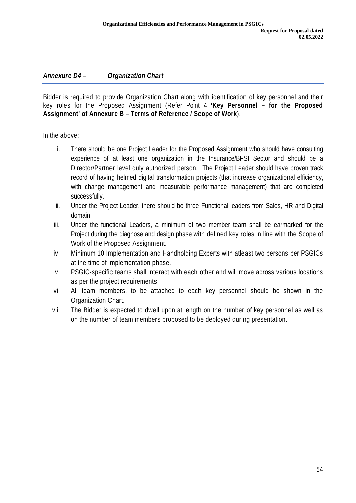### *Annexure D4 – Organization Chart*

Bidder is required to provide Organization Chart along with identification of key personnel and their key roles for the Proposed Assignment (Refer Point 4 **'Key Personnel – for the Proposed Assignment' of Annexure B – Terms of Reference / Scope of Work**).

In the above:

- i. There should be one Project Leader for the Proposed Assignment who should have consulting experience of at least one organization in the Insurance/BFSI Sector and should be a Director/Partner level duly authorized person. The Project Leader should have proven track record of having helmed digital transformation projects (that increase organizational efficiency, with change management and measurable performance management) that are completed successfully.
- ii. Under the Project Leader, there should be three Functional leaders from Sales, HR and Digital domain.
- iii. Under the functional Leaders, a minimum of two member team shall be earmarked for the Project during the diagnose and design phase with defined key roles in line with the Scope of Work of the Proposed Assignment.
- iv. Minimum 10 Implementation and Handholding Experts with atleast two persons per PSGICs at the time of implementation phase.
- v. PSGIC-specific teams shall interact with each other and will move across various locations as per the project requirements.
- vi. All team members, to be attached to each key personnel should be shown in the Organization Chart.
- vii. The Bidder is expected to dwell upon at length on the number of key personnel as well as on the number of team members proposed to be deployed during presentation.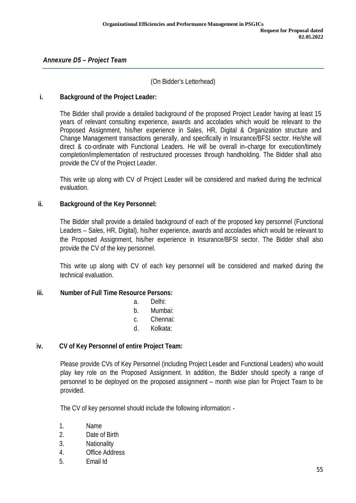### (On Bidder's Letterhead)

#### **i. Background of the Project Leader:**

The Bidder shall provide a detailed background of the proposed Project Leader having at least 15 years of relevant consulting experience, awards and accolades which would be relevant to the Proposed Assignment, his/her experience in Sales, HR, Digital & Organization structure and Change Management transactions generally, and specifically in Insurance/BFSI sector. He/she will direct & co-ordinate with Functional Leaders. He will be overall in–charge for execution/timely completion/implementation of restructured processes through handholding. The Bidder shall also provide the CV of the Project Leader.

This write up along with CV of Project Leader will be considered and marked during the technical evaluation.

#### **ii. Background of the Key Personnel:**

The Bidder shall provide a detailed background of each of the proposed key personnel (Functional Leaders – Sales, HR, Digital), his/her experience, awards and accolades which would be relevant to the Proposed Assignment, his/her experience in Insurance/BFSI sector. The Bidder shall also provide the CV of the key personnel.

This write up along with CV of each key personnel will be considered and marked during the technical evaluation.

#### **iii. Number of Full Time Resource Persons:**

- a. Delhi:
- b. Mumbai:
- c. Chennai:
- d. Kolkata:

#### **iv. CV of Key Personnel of entire Project Team:**

Please provide CVs of Key Personnel (including Project Leader and Functional Leaders) who would play key role on the Proposed Assignment. In addition, the Bidder should specify a range of personnel to be deployed on the proposed assignment – month wise plan for Project Team to be provided.

The CV of key personnel should include the following information: -

- 1. Name
- 2. Date of Birth
- 3. Nationality
- 4. Office Address
- 5. Email Id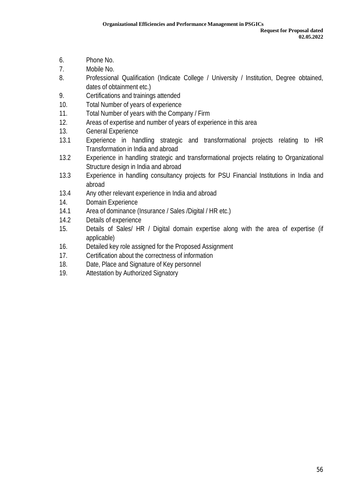- 6. Phone No.
- 7. Mobile No.
- 8. Professional Qualification (Indicate College / University / Institution, Degree obtained, dates of obtainment etc.)
- 9. Certifications and trainings attended
- 10. Total Number of years of experience
- 11. Total Number of years with the Company / Firm
- 12. Areas of expertise and number of years of experience in this area
- 13. General Experience
- 13.1 Experience in handling strategic and transformational projects relating to HR Transformation in India and abroad
- 13.2 Experience in handling strategic and transformational projects relating to Organizational Structure design in India and abroad
- 13.3 Experience in handling consultancy projects for PSU Financial Institutions in India and abroad
- 13.4 Any other relevant experience in India and abroad
- 14. Domain Experience
- 14.1 Area of dominance (Insurance / Sales /Digital / HR etc.)
- 14.2 Details of experience
- 15. Details of Sales/ HR / Digital domain expertise along with the area of expertise (if applicable)
- 16. Detailed key role assigned for the Proposed Assignment
- 17. Certification about the correctness of information
- 18. Date, Place and Signature of Key personnel
- 19. Attestation by Authorized Signatory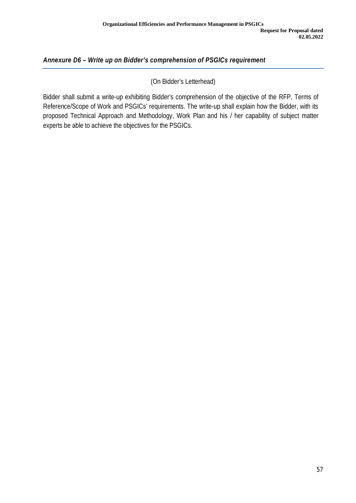# *Annexure D6 – Write up on Bidder's comprehension of PSGICs requirement*

(On Bidder's Letterhead)

Bidder shall submit a write-up exhibiting Bidder's comprehension of the objective of the RFP, Terms of Reference/Scope of Work and PSGICs' requirements. The write-up shall explain how the Bidder, with its proposed Technical Approach and Methodology, Work Plan and his / her capability of subject matter experts be able to achieve the objectives for the PSGICs.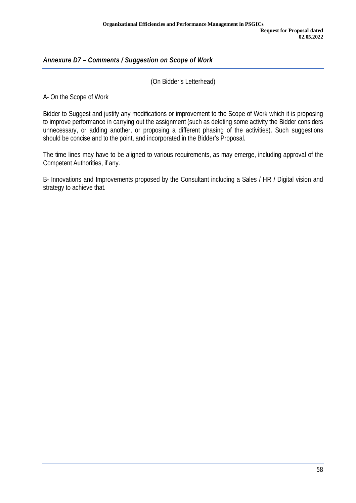# *Annexure D7 – Comments / Suggestion on Scope of Work*

(On Bidder's Letterhead)

A- On the Scope of Work

Bidder to Suggest and justify any modifications or improvement to the Scope of Work which it is proposing to improve performance in carrying out the assignment (such as deleting some activity the Bidder considers unnecessary, or adding another, or proposing a different phasing of the activities). Such suggestions should be concise and to the point, and incorporated in the Bidder's Proposal.

The time lines may have to be aligned to various requirements, as may emerge, including approval of the Competent Authorities, if any.

B- Innovations and Improvements proposed by the Consultant including a Sales / HR / Digital vision and strategy to achieve that.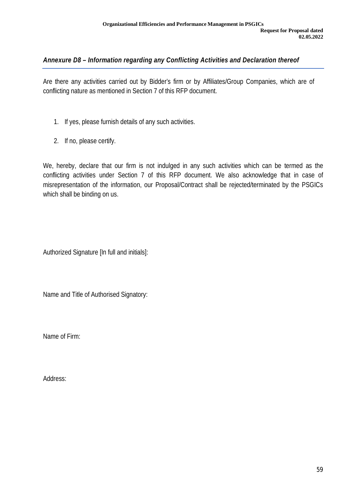# *Annexure D8 – Information regarding any Conflicting Activities and Declaration thereof*

Are there any activities carried out by Bidder's firm or by Affiliates/Group Companies, which are of conflicting nature as mentioned in Section 7 of this RFP document.

- 1. If yes, please furnish details of any such activities.
- 2. If no, please certify.

We, hereby, declare that our firm is not indulged in any such activities which can be termed as the conflicting activities under Section 7 of this RFP document. We also acknowledge that in case of misrepresentation of the information, our Proposal/Contract shall be rejected/terminated by the PSGICs which shall be binding on us.

Authorized Signature [In full and initials]:

Name and Title of Authorised Signatory:

Name of Firm:

Address: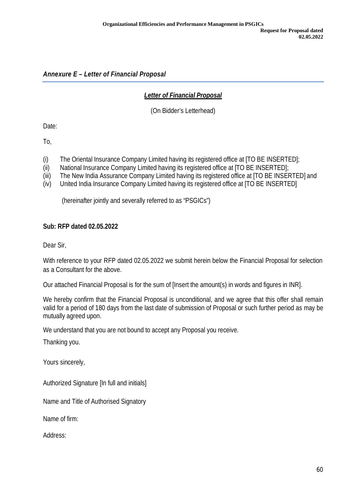*Annexure E – Letter of Financial Proposal*

## *Letter of Financial Proposal*

(On Bidder's Letterhead)

Date:

To,

- (i) The Oriental Insurance Company Limited having its registered office at [TO BE INSERTED];
- (ii) National Insurance Company Limited having its registered office at [TO BE INSERTED];
- (iii) The New India Assurance Company Limited having its registered office at [TO BE INSERTED] and
- (iv) United India Insurance Company Limited having its registered office at [TO BE INSERTED]

(hereinafter jointly and severally referred to as "PSGICs")

### **Sub: RFP dated 02.05.2022**

Dear Sir,

With reference to your RFP dated 02.05.2022 we submit herein below the Financial Proposal for selection as a Consultant for the above.

Our attached Financial Proposal is for the sum of [Insert the amount(s) in words and figures in INR].

We hereby confirm that the Financial Proposal is unconditional, and we agree that this offer shall remain valid for a period of 180 days from the last date of submission of Proposal or such further period as may be mutually agreed upon.

We understand that you are not bound to accept any Proposal you receive.

Thanking you.

Yours sincerely,

Authorized Signature [In full and initials]

Name and Title of Authorised Signatory

Name of firm:

Address: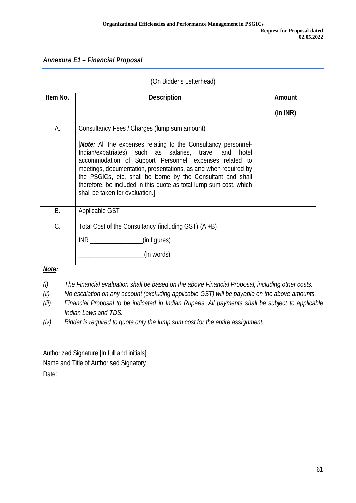## *Annexure E1 – Financial Proposal*

### (On Bidder's Letterhead)

| Item No. | <b>Description</b>                                                                                                                                                                                                                                                                                                                                                                                                             | <b>Amount</b> |
|----------|--------------------------------------------------------------------------------------------------------------------------------------------------------------------------------------------------------------------------------------------------------------------------------------------------------------------------------------------------------------------------------------------------------------------------------|---------------|
|          |                                                                                                                                                                                                                                                                                                                                                                                                                                | (in INR)      |
| А.       | Consultancy Fees / Charges (lump sum amount)                                                                                                                                                                                                                                                                                                                                                                                   |               |
|          | [Note: All the expenses relating to the Consultancy personnel-<br>Indian/expatriates) such as salaries, travel and hotel<br>accommodation of Support Personnel, expenses related to<br>meetings, documentation, presentations, as and when required by<br>the PSGICs, etc. shall be borne by the Consultant and shall<br>therefore, be included in this quote as total lump sum cost, which<br>shall be taken for evaluation.] |               |
| Β.       | Applicable GST                                                                                                                                                                                                                                                                                                                                                                                                                 |               |
| C.       | Total Cost of the Consultancy (including GST) $(A + B)$                                                                                                                                                                                                                                                                                                                                                                        |               |
|          | (in figures)<br>INR                                                                                                                                                                                                                                                                                                                                                                                                            |               |
|          | (In words)                                                                                                                                                                                                                                                                                                                                                                                                                     |               |

*Note:*

*(i) The Financial evaluation shall be based on the above Financial Proposal, including other costs.*

*(ii) No escalation on any account (excluding applicable GST) will be payable on the above amounts.*

*(iii) Financial Proposal to be indicated in Indian Rupees. All payments shall be subject to applicable Indian Laws and TDS.*

*(iv) Bidder is required to quote only the lump sum cost for the entire assignment.*

Authorized Signature [In full and initials] Name and Title of Authorised Signatory Date: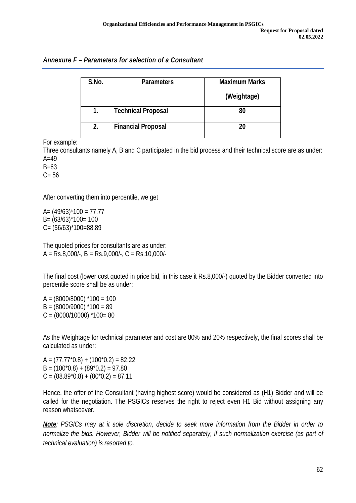| S.No. | <b>Parameters</b>         | <b>Maximum Marks</b> |  |
|-------|---------------------------|----------------------|--|
|       |                           | (Weightage)          |  |
| 1.    | <b>Technical Proposal</b> | 80                   |  |
| 2.    | <b>Financial Proposal</b> | 20                   |  |

For example:

Three consultants namely A, B and C participated in the bid process and their technical score are as under:  $A=49$ 

B=63

 $C = 56$ 

After converting them into percentile, we get

 $A = (49/63)^*100 = 77.77$  $B = (63/63)^*100 = 100$ C= (56/63)\*100=88.89

The quoted prices for consultants are as under:  $A = Rs.8,000/-$ ,  $B = Rs.9,000/-$ ,  $C = Rs.10,000/-$ 

The final cost (lower cost quoted in price bid, in this case it Rs.8,000/-) quoted by the Bidder converted into percentile score shall be as under:

 $A = (8000/8000)$  \*100 = 100  $B = (8000/9000)$  \*100 = 89  $C = (8000/10000)$  \*100= 80

As the Weightage for technical parameter and cost are 80% and 20% respectively, the final scores shall be calculated as under:

 $A = (77.77 \text{ * } 0.8) + (100 \text{ * } 0.2) = 82.22$  $B = (100<sup>*</sup>0.8) + (89<sup>*</sup>0.2) = 97.80$  $C = (88.89<sup>*</sup>0.8) + (80<sup>*</sup>0.2) = 87.11$ 

Hence, the offer of the Consultant (having highest score) would be considered as (H1) Bidder and will be called for the negotiation. The PSGICs reserves the right to reject even H1 Bid without assigning any reason whatsoever.

*Note: PSGICs may at it sole discretion, decide to seek more information from the Bidder in order to normalize the bids. However, Bidder will be notified separately, if such normalization exercise (as part of technical evaluation) is resorted to.*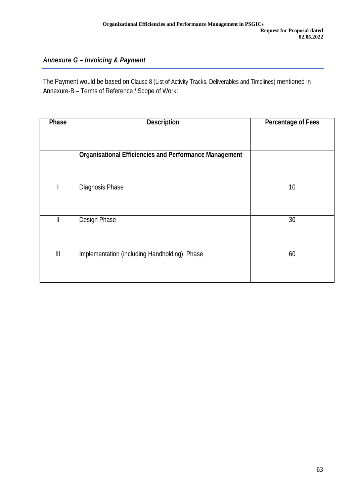# *Annexure G – Invoicing & Payment*

The Payment would be based on Clause 8 (List of Activity Tracks, Deliverables and Timelines) mentioned in Annexure-B – Terms of Reference / Scope of Work:

| Phase                                 | <b>Description</b>                                            | <b>Percentage of Fees</b> |
|---------------------------------------|---------------------------------------------------------------|---------------------------|
|                                       | <b>Organisational Efficiencies and Performance Management</b> |                           |
|                                       | Diagnosis Phase                                               | 10                        |
| $\mathbf{II}$                         | Design Phase                                                  | 30                        |
| $\begin{array}{c} \hline \end{array}$ | Implementation (including Handholding) Phase                  | 60                        |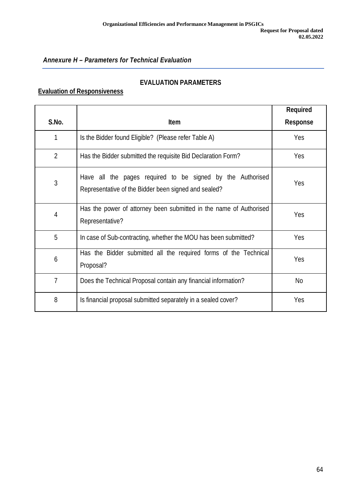# *Annexure H – Parameters for Technical Evaluation*

### **EVALUATION PARAMETERS**

# **Evaluation of Responsiveness**

|                |                                                                                                                    | <b>Required</b> |
|----------------|--------------------------------------------------------------------------------------------------------------------|-----------------|
| S.No.          | <b>Item</b>                                                                                                        | <b>Response</b> |
| 1              | Is the Bidder found Eligible? (Please refer Table A)                                                               | Yes             |
| $\overline{2}$ | Has the Bidder submitted the requisite Bid Declaration Form?                                                       | Yes             |
| 3              | Have all the pages required to be signed by the Authorised<br>Representative of the Bidder been signed and sealed? | Yes             |
| $\overline{4}$ | Has the power of attorney been submitted in the name of Authorised<br>Representative?                              | Yes             |
| 5              | In case of Sub-contracting, whether the MOU has been submitted?                                                    | Yes             |
| 6              | Has the Bidder submitted all the required forms of the Technical<br>Proposal?                                      | Yes             |
| 7              | Does the Technical Proposal contain any financial information?                                                     | No              |
| 8              | Is financial proposal submitted separately in a sealed cover?                                                      | Yes             |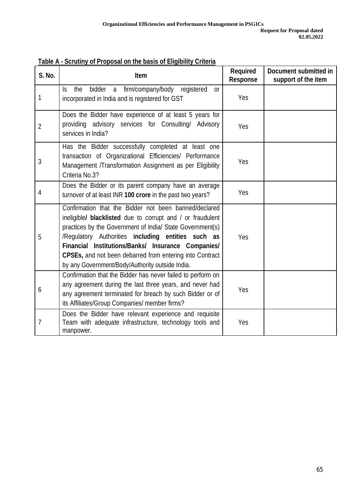| <b>S. No.</b>  | <b>Item</b>                                                                                                                                                                                                                                                                                                                                                                                                 | <b>Required</b><br><b>Response</b> | <b>Document submitted in</b><br>support of the item |
|----------------|-------------------------------------------------------------------------------------------------------------------------------------------------------------------------------------------------------------------------------------------------------------------------------------------------------------------------------------------------------------------------------------------------------------|------------------------------------|-----------------------------------------------------|
| 1              | Is the<br>bidder<br>a firm/company/body<br>registered<br><sub>or</sub><br>incorporated in India and is registered for GST                                                                                                                                                                                                                                                                                   | Yes                                |                                                     |
| $\overline{2}$ | Does the Bidder have experience of at least 5 years for<br>providing advisory services for Consulting/ Advisory<br>services in India?                                                                                                                                                                                                                                                                       | Yes                                |                                                     |
| 3              | Has the Bidder successfully completed at least one<br>transaction of Organizational Efficiencies/ Performance<br>Management /Transformation Assignment as per Eligibility<br>Criteria No.3?                                                                                                                                                                                                                 | Yes                                |                                                     |
| 4              | Does the Bidder or its parent company have an average<br>turnover of at least INR 100 crore in the past two years?                                                                                                                                                                                                                                                                                          | Yes                                |                                                     |
| 5              | Confirmation that the Bidder not been banned/declared<br>ineligible/ blacklisted due to corrupt and / or fraudulent<br>practices by the Government of India/ State Government(s)<br>/Regulatory Authorities including entities such as<br>Financial Institutions/Banks/ Insurance Companies/<br>CPSEs, and not been debarred from entering into Contract<br>by any Government/Body/Authority outside India. | Yes                                |                                                     |
| 6              | Confirmation that the Bidder has never failed to perform on<br>any agreement during the last three years, and never had<br>any agreement terminated for breach by such Bidder or of<br>its Affiliates/Group Companies/ member firms?                                                                                                                                                                        | Yes                                |                                                     |
| 7              | Does the Bidder have relevant experience and requisite<br>Team with adequate infrastructure, technology tools and<br>manpower.                                                                                                                                                                                                                                                                              | Yes                                |                                                     |

**Table A - Scrutiny of Proposal on the basis of Eligibility Criteria**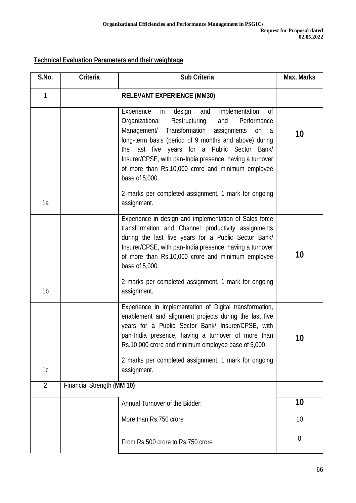# **Technical Evaluation Parameters and their weightage**

| S.No.          | <b>Criteria</b>            | <b>Sub Criteria</b>                                                                                                                                                                                                                                                                                                                                                                                                       | <b>Max. Marks</b> |
|----------------|----------------------------|---------------------------------------------------------------------------------------------------------------------------------------------------------------------------------------------------------------------------------------------------------------------------------------------------------------------------------------------------------------------------------------------------------------------------|-------------------|
| $\mathbf{1}$   |                            |                                                                                                                                                                                                                                                                                                                                                                                                                           |                   |
|                |                            | implementation<br>Experience<br>design<br>and<br>0f<br>in<br>Organizational<br>Restructuring<br>Performance<br>and<br>Management/ Transformation<br>assignments<br>on<br>a a<br>long-term basis (period of 9 months and above) during<br>the last five years for a Public Sector Bank/<br>Insurer/CPSE, with pan-India presence, having a turnover<br>of more than Rs.10,000 crore and minimum employee<br>base of 5,000. | 10                |
| 1a             |                            | 2 marks per completed assignment, 1 mark for ongoing<br>assignment.                                                                                                                                                                                                                                                                                                                                                       |                   |
| 1b             |                            | Experience in design and implementation of Sales force<br>transformation and Channel productivity assignments<br>during the last five years for a Public Sector Bank/<br>Insurer/CPSE, with pan-India presence, having a turnover<br>of more than Rs.10,000 crore and minimum employee<br>base of 5,000.<br>2 marks per completed assignment, 1 mark for ongoing<br>assignment.                                           | 10                |
| 1 <sub>c</sub> |                            | Experience in implementation of Digital transformation,<br>enablement and alignment projects during the last five<br>years for a Public Sector Bank/ Insurer/CPSE, with<br>pan-India presence, having a turnover of more than<br>Rs.10,000 crore and minimum employee base of 5,000.<br>2 marks per completed assignment, 1 mark for ongoing<br>assignment.                                                               | 10                |
| $\overline{2}$ | Financial Strength (MM 10) |                                                                                                                                                                                                                                                                                                                                                                                                                           |                   |
|                |                            | Annual Turnover of the Bidder:                                                                                                                                                                                                                                                                                                                                                                                            | 10                |
|                |                            | More than Rs.750 crore                                                                                                                                                                                                                                                                                                                                                                                                    | 10                |
|                |                            | From Rs.500 crore to Rs.750 crore                                                                                                                                                                                                                                                                                                                                                                                         | 8                 |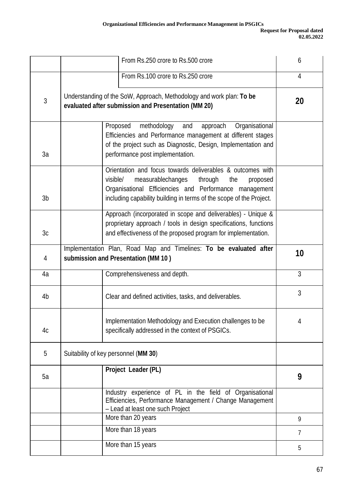|              | From Rs.250 crore to Rs.500 crore                                                                                                                                                                                                                          | 6              |
|--------------|------------------------------------------------------------------------------------------------------------------------------------------------------------------------------------------------------------------------------------------------------------|----------------|
|              | From Rs.100 crore to Rs.250 crore                                                                                                                                                                                                                          | $\overline{4}$ |
| $\mathbf{3}$ | Understanding of the SoW, Approach, Methodology and work plan: To be<br>evaluated after submission and Presentation (MM 20)                                                                                                                                | 20             |
| 3a           | Proposed<br>methodology<br>approach<br>Organisational<br>and<br>Efficiencies and Performance management at different stages<br>of the project such as Diagnostic, Design, Implementation and<br>performance post implementation.                           |                |
| 3b           | Orientation and focus towards deliverables & outcomes with<br>measurablechanges<br>visible/<br>through<br>the<br>proposed<br>Organisational Efficiencies and Performance management<br>including capability building in terms of the scope of the Project. |                |
| 3c           | Approach (incorporated in scope and deliverables) - Unique &<br>proprietary approach / tools in design specifications, functions<br>and effectiveness of the proposed program for implementation.                                                          |                |
| 4            | Implementation Plan, Road Map and Timelines: To be evaluated after<br>submission and Presentation (MM 10)                                                                                                                                                  | 10             |
| 4a           | Comprehensiveness and depth.                                                                                                                                                                                                                               | $\overline{3}$ |
| 4b           | Clear and defined activities, tasks, and deliverables.                                                                                                                                                                                                     | 3              |
| 4c           | Implementation Methodology and Execution challenges to be<br>specifically addressed in the context of PSGICs.                                                                                                                                              | 4              |
| 5            | Suitability of key personnel (MM 30)                                                                                                                                                                                                                       |                |
| 5a           | Project Leader (PL)                                                                                                                                                                                                                                        | 9              |
|              | Industry experience of PL in the field of Organisational<br>Efficiencies, Performance Management / Change Management<br>- Lead at least one such Project                                                                                                   |                |
|              | More than 20 years                                                                                                                                                                                                                                         | 9              |
|              | More than 18 years                                                                                                                                                                                                                                         | 7              |
|              | More than 15 years                                                                                                                                                                                                                                         | 5              |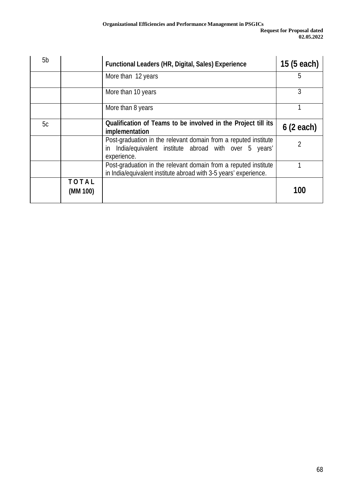| 5b |                          | <b>Functional Leaders (HR, Digital, Sales) Experience</b>                                                                                    | 15 (5 each) |
|----|--------------------------|----------------------------------------------------------------------------------------------------------------------------------------------|-------------|
|    |                          | More than 12 years                                                                                                                           | 5           |
|    |                          | More than 10 years                                                                                                                           | 3           |
|    |                          | More than 8 years                                                                                                                            |             |
| 5c |                          | Qualification of Teams to be involved in the Project till its<br>implementation                                                              | 6(2 each)   |
|    |                          | Post-graduation in the relevant domain from a reputed institute<br>India/equivalent institute abroad with over 5 years'<br>in<br>experience. |             |
|    |                          | Post-graduation in the relevant domain from a reputed institute<br>in India/equivalent institute abroad with 3-5 years' experience.          |             |
|    | <b>TOTAL</b><br>(MM 100) |                                                                                                                                              | 100         |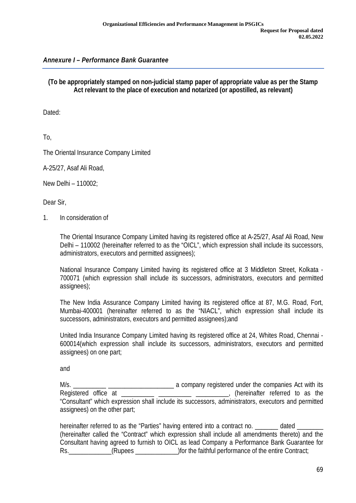### *Annexure I – Performance Bank Guarantee*

#### **(To be appropriately stamped on non-judicial stamp paper of appropriate value as per the Stamp Act relevant to the place of execution and notarized (or apostilled, as relevant)**

Dated:

To,

The Oriental Insurance Company Limited

A-25/27, Asaf Ali Road,

New Delhi – 110002;

Dear Sir,

1. In consideration of

The Oriental Insurance Company Limited having its registered office at A-25/27, Asaf Ali Road, New Delhi – 110002 (hereinafter referred to as the "OICL", which expression shall include its successors, administrators, executors and permitted assignees);

National Insurance Company Limited having its registered office at 3 Middleton Street, Kolkata - 700071 (which expression shall include its successors, administrators, executors and permitted assignees);

The New India Assurance Company Limited having its registered office at 87, M.G. Road, Fort, Mumbai-400001 (hereinafter referred to as the "NIACL", which expression shall include its successors, administrators, executors and permitted assignees);and

United India Insurance Company Limited having its registered office at 24, Whites Road, Chennai - 600014(which expression shall include its successors, administrators, executors and permitted assignees) on one part;

and

M/s. \_\_\_\_\_\_\_\_\_\_ \_\_\_\_\_\_\_\_\_\_\_\_\_\_\_\_\_\_\_\_ a company registered under the companies Act with its Registered office at \_\_\_\_\_\_\_\_\_\_ \_\_\_\_\_\_\_\_\_\_ \_\_\_\_\_\_\_\_\_\_, (hereinafter referred to as the "Consultant" which expression shall include its successors, administrators, executors and permitted assignees) on the other part;

hereinafter referred to as the "Parties" having entered into a contract no. \_\_\_\_\_\_\_\_ dated \_ (hereinafter called the "Contract" which expression shall include all amendments thereto) and the Consultant having agreed to furnish to OICL as lead Company a Performance Bank Guarantee for Rs. (Rupees )for the faithful performance of the entire Contract;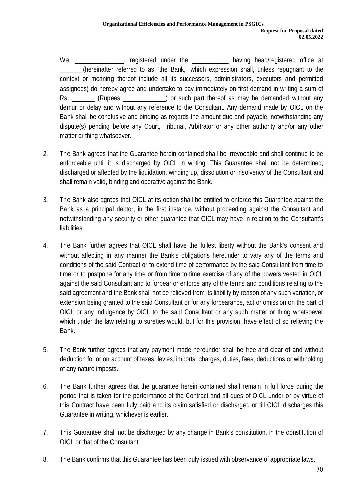We, \_\_\_\_\_\_\_\_\_\_\_\_\_\_\_, registered under the \_\_\_\_\_\_\_\_\_\_\_\_ having head/registered office at (hereinafter referred to as "the Bank," which expression shall, unless repugnant to the context or meaning thereof include all its successors, administrators, executors and permitted assignees) do hereby agree and undertake to pay immediately on first demand in writing a sum of Rs. (Rupees ) or such part thereof as may be demanded without any demur or delay and without any reference to the Consultant. Any demand made by OICL on the Bank shall be conclusive and binding as regards the amount due and payable, notwithstanding any dispute(s) pending before any Court, Tribunal, Arbitrator or any other authority and/or any other matter or thing whatsoever.

- 2. The Bank agrees that the Guarantee herein contained shall be irrevocable and shall continue to be enforceable until it is discharged by OICL in writing. This Guarantee shall not be determined, discharged or affected by the liquidation, winding up, dissolution or insolvency of the Consultant and shall remain valid, binding and operative against the Bank.
- 3. The Bank also agrees that OICL at its option shall be entitled to enforce this Guarantee against the Bank as a principal debtor, in the first instance, without proceeding against the Consultant and notwithstanding any security or other guarantee that OICL may have in relation to the Consultant's liabilities.
- 4. The Bank further agrees that OICL shall have the fullest liberty without the Bank's consent and without affecting in any manner the Bank's obligations hereunder to vary any of the terms and conditions of the said Contract or to extend time of performance by the said Consultant from time to time or to postpone for any time or from time to time exercise of any of the powers vested in OICL against the said Consultant and to forbear or enforce any of the terms and conditions relating to the said agreement and the Bank shall not be relieved from its liability by reason of any such variation, or extension being granted to the said Consultant or for any forbearance, act or omission on the part of OICL or any indulgence by OICL to the said Consultant or any such matter or thing whatsoever which under the law relating to sureties would, but for this provision, have effect of so relieving the Bank.
- 5. The Bank further agrees that any payment made hereunder shall be free and clear of and without deduction for or on account of taxes, levies, imports, charges, duties, fees, deductions or withholding of any nature imposts.
- 6. The Bank further agrees that the guarantee herein contained shall remain in full force during the period that is taken for the performance of the Contract and all dues of OICL under or by virtue of this Contract have been fully paid and its claim satisfied or discharged or till OICL discharges this Guarantee in writing, whichever is earlier.
- 7. This Guarantee shall not be discharged by any change in Bank's constitution, in the constitution of OICL or that of the Consultant.
- 8. The Bank confirms that this Guarantee has been duly issued with observance of appropriate laws.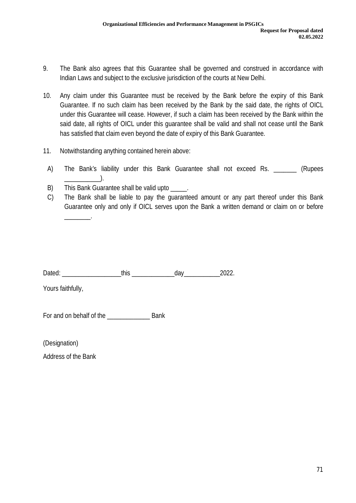- 9. The Bank also agrees that this Guarantee shall be governed and construed in accordance with Indian Laws and subject to the exclusive jurisdiction of the courts at New Delhi.
- 10. Any claim under this Guarantee must be received by the Bank before the expiry of this Bank Guarantee. If no such claim has been received by the Bank by the said date, the rights of OICL under this Guarantee will cease. However, if such a claim has been received by the Bank within the said date, all rights of OICL under this guarantee shall be valid and shall not cease until the Bank has satisfied that claim even beyond the date of expiry of this Bank Guarantee.
- 11. Notwithstanding anything contained herein above:
	- A) The Bank's liability under this Bank Guarantee shall not exceed Rs. \_\_\_\_\_\_\_\_ (Rupees  $\Box$
	- B) This Bank Guarantee shall be valid upto
	- C) The Bank shall be liable to pay the guaranteed amount or any part thereof under this Bank Guarantee only and only if OICL serves upon the Bank a written demand or claim on or before \_\_\_\_\_\_\_\_.

Dated: This this day 2022.

Yours faithfully,

For and on behalf of the \_\_\_\_\_\_\_\_\_\_\_\_\_ Bank

(Designation)

Address of the Bank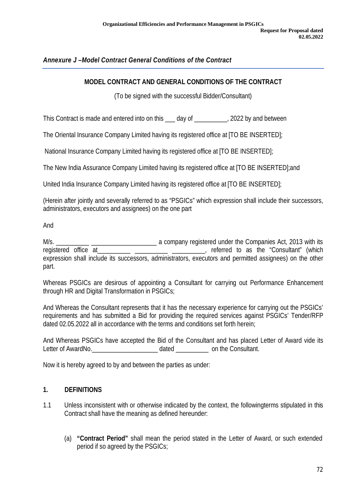## *Annexure J –Model Contract General Conditions of the Contract*

### **MODEL CONTRACT AND GENERAL CONDITIONS OF THE CONTRACT**

(To be signed with the successful Bidder/Consultant)

This Contract is made and entered into on this day of This Contract is made and entered into on this day of This Contract is made and entered into on this day of

The Oriental Insurance Company Limited having its registered office at [TO BE INSERTED];

National Insurance Company Limited having its registered office at [TO BE INSERTED];

The New India Assurance Company Limited having its registered office at [TO BE INSERTED];and

United India Insurance Company Limited having its registered office at [TO BE INSERTED];

(Herein after jointly and severally referred to as "PSGICs" which expression shall include their successors, administrators, executors and assignees) on the one part

And

M/s. \_\_\_\_\_\_\_\_\_\_ \_\_\_\_\_\_\_\_\_\_\_\_\_\_\_\_\_\_\_\_ a company registered under the Companies Act, 2013 with its registered office at **a consultant** and the "Consultant" (which expression shall include its successors, administrators, executors and permitted assignees) on the other part.

Whereas PSGICs are desirous of appointing a Consultant for carrying out Performance Enhancement through HR and Digital Transformation in PSGICs;

And Whereas the Consultant represents that it has the necessary experience for carrying out the PSGICs' requirements and has submitted a Bid for providing the required services against PSGICs' Tender/RFP dated 02.05.2022 all in accordance with the terms and conditions set forth herein;

And Whereas PSGICs have accepted the Bid of the Consultant and has placed Letter of Award vide its Letter of AwardNo. The Consultant.

Now it is hereby agreed to by and between the parties as under:

#### **1. DEFINITIONS**

- 1.1 Unless inconsistent with or otherwise indicated by the context, the followingterms stipulated in this Contract shall have the meaning as defined hereunder:
	- (a) **"Contract Period"** shall mean the period stated in the Letter of Award, or such extended period if so agreed by the PSGICs;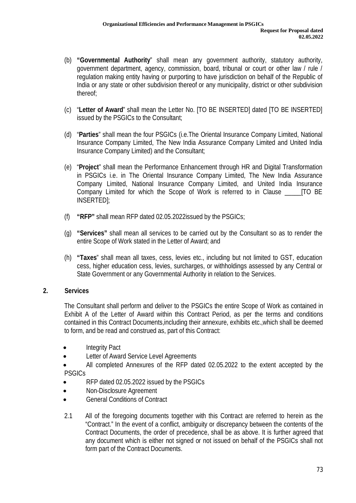- (b) **"Governmental Authority**" shall mean any government authority, statutory authority, government department, agency, commission, board, tribunal or court or other law / rule / regulation making entity having or purporting to have jurisdiction on behalf of the Republic of India or any state or other subdivision thereof or any municipality, district or other subdivision thereof;
- (c) "**Letter of Award**" shall mean the Letter No. [TO BE INSERTED] dated [TO BE INSERTED] issued by the PSGICs to the Consultant;
- (d) "**Parties**" shall mean the four PSGICs (i.e.The Oriental Insurance Company Limited, National Insurance Company Limited, The New India Assurance Company Limited and United India Insurance Company Limited) and the Consultant;
- (e) "**Project**" shall mean the Performance Enhancement through HR and Digital Transformation in PSGICs i.e. in The Oriental Insurance Company Limited, The New India Assurance Company Limited, National Insurance Company Limited, and United India Insurance Company Limited for which the Scope of Work is referred to in Clause \_\_\_\_\_[TO BE INSERTED];
- (f) **"RFP"** shall mean RFP dated 02.05.2022issued by the PSGICs;
- (g) **"Services"** shall mean all services to be carried out by the Consultant so as to render the entire Scope of Work stated in the Letter of Award; and
- (h) **"Taxes**" shall mean all taxes, cess, levies etc., including but not limited to GST, education cess, higher education cess, levies, surcharges, or withholdings assessed by any Central or State Government or any Governmental Authority in relation to the Services.

### **2. Services**

The Consultant shall perform and deliver to the PSGICs the entire Scope of Work as contained in Exhibit A of the Letter of Award within this Contract Period, as per the terms and conditions contained in this Contract Documents,including their annexure, exhibits etc.,which shall be deemed to form, and be read and construed as, part of this Contract:

- Integrity Pact
- Letter of Award Service Level Agreements
- All completed Annexures of the RFP dated 02.05.2022 to the extent accepted by the PSGICs
- RFP dated 02.05.2022 issued by the PSGICs
- Non-Disclosure Agreement
- General Conditions of Contract
- 2.1 All of the foregoing documents together with this Contract are referred to herein as the "Contract." In the event of a conflict, ambiguity or discrepancy between the contents of the Contract Documents, the order of precedence, shall be as above. It is further agreed that any document which is either not signed or not issued on behalf of the PSGICs shall not form part of the Contract Documents.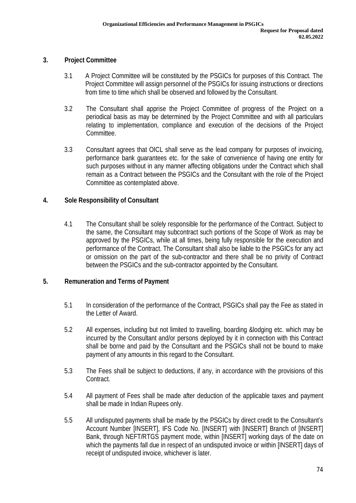## **3. Project Committee**

- 3.1 A Project Committee will be constituted by the PSGICs for purposes of this Contract. The Project Committee will assign personnel of the PSGICs for issuing instructions or directions from time to time which shall be observed and followed by the Consultant.
- 3.2 The Consultant shall apprise the Project Committee of progress of the Project on a periodical basis as may be determined by the Project Committee and with all particulars relating to implementation, compliance and execution of the decisions of the Project Committee.
- 3.3 Consultant agrees that OICL shall serve as the lead company for purposes of invoicing, performance bank guarantees etc. for the sake of convenience of having one entity for such purposes without in any manner affecting obligations under the Contract which shall remain as a Contract between the PSGICs and the Consultant with the role of the Project Committee as contemplated above.

### **4. Sole Responsibility of Consultant**

4.1 The Consultant shall be solely responsible for the performance of the Contract. Subject to the same, the Consultant may subcontract such portions of the Scope of Work as may be approved by the PSGICs, while at all times, being fully responsible for the execution and performance of the Contract. The Consultant shall also be liable to the PSGICs for any act or omission on the part of the sub-contractor and there shall be no privity of Contract between the PSGICs and the sub-contractor appointed by the Consultant.

### **5. Remuneration and Terms of Payment**

- 5.1 In consideration of the performance of the Contract, PSGICs shall pay the Fee as stated in the Letter of Award.
- 5.2 All expenses, including but not limited to travelling, boarding &lodging etc. which may be incurred by the Consultant and/or persons deployed by it in connection with this Contract shall be borne and paid by the Consultant and the PSGICs shall not be bound to make payment of any amounts in this regard to the Consultant.
- 5.3 The Fees shall be subject to deductions, if any, in accordance with the provisions of this Contract.
- 5.4 All payment of Fees shall be made after deduction of the applicable taxes and payment shall be made in Indian Rupees only.
- 5.5 All undisputed payments shall be made by the PSGICs by direct credit to the Consultant's Account Number [INSERT], IFS Code No. [INSERT] with [INSERT] Branch of [INSERT] Bank, through NEFT/RTGS payment mode, within [INSERT] working days of the date on which the payments fall due in respect of an undisputed invoice or within [INSERT] days of receipt of undisputed invoice, whichever is later.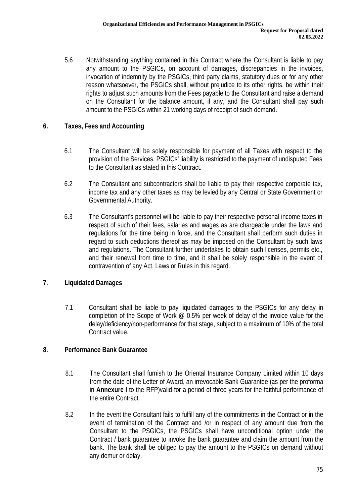5.6 Notwithstanding anything contained in this Contract where the Consultant is liable to pay any amount to the PSGICs, on account of damages, discrepancies in the invoices, invocation of indemnity by the PSGICs, third party claims, statutory dues or for any other reason whatsoever, the PSGICs shall, without prejudice to its other rights, be within their rights to adjust such amounts from the Fees payable to the Consultant and raise a demand on the Consultant for the balance amount, if any, and the Consultant shall pay such amount to the PSGICs within 21 working days of receipt of such demand.

## **6. Taxes, Fees and Accounting**

- 6.1 The Consultant will be solely responsible for payment of all Taxes with respect to the provision of the Services. PSGICs' liability is restricted to the payment of undisputed Fees to the Consultant as stated in this Contract.
- 6.2 The Consultant and subcontractors shall be liable to pay their respective corporate tax, income tax and any other taxes as may be levied by any Central or State Government or Governmental Authority.
- 6.3 The Consultant's personnel will be liable to pay their respective personal income taxes in respect of such of their fees, salaries and wages as are chargeable under the laws and regulations for the time being in force, and the Consultant shall perform such duties in regard to such deductions thereof as may be imposed on the Consultant by such laws and regulations. The Consultant further undertakes to obtain such licenses, permits etc., and their renewal from time to time, and it shall be solely responsible in the event of contravention of any Act, Laws or Rules in this regard.

# **7. Liquidated Damages**

7.1 Consultant shall be liable to pay liquidated damages to the PSGICs for any delay in completion of the Scope of Work  $\omega$  0.5% per week of delay of the invoice value for the delay/deficiency/non-performance for that stage, subject to a maximum of 10% of the total Contract value.

# **8. Performance Bank Guarantee**

- 8.1 The Consultant shall furnish to the Oriental Insurance Company Limited within 10 days from the date of the Letter of Award, an irrevocable Bank Guarantee (as per the proforma in **Annexure I** to the RFP)valid for a period of three years for the faithful performance of the entire Contract.
- 8.2 In the event the Consultant fails to fulfill any of the commitments in the Contract or in the event of termination of the Contract and /or in respect of any amount due from the Consultant to the PSGICs, the PSGICs shall have unconditional option under the Contract / bank guarantee to invoke the bank guarantee and claim the amount from the bank. The bank shall be obliged to pay the amount to the PSGICs on demand without any demur or delay.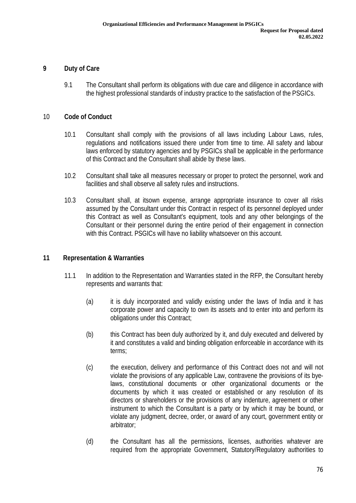### **9 Duty of Care**

9.1 The Consultant shall perform its obligations with due care and diligence in accordance with the highest professional standards of industry practice to the satisfaction of the PSGICs.

#### 10 **Code of Conduct**

- 10.1 Consultant shall comply with the provisions of all laws including Labour Laws, rules, regulations and notifications issued there under from time to time. All safety and labour laws enforced by statutory agencies and by PSGICs shall be applicable in the performance of this Contract and the Consultant shall abide by these laws.
- 10.2 Consultant shall take all measures necessary or proper to protect the personnel, work and facilities and shall observe all safety rules and instructions.
- 10.3 Consultant shall, at itsown expense, arrange appropriate insurance to cover all risks assumed by the Consultant under this Contract in respect of its personnel deployed under this Contract as well as Consultant's equipment, tools and any other belongings of the Consultant or their personnel during the entire period of their engagement in connection with this Contract. PSGICs will have no liability whatsoever on this account.

#### **11 Representation & Warranties**

- 11.1 In addition to the Representation and Warranties stated in the RFP, the Consultant hereby represents and warrants that:
	- (a) it is duly incorporated and validly existing under the laws of India and it has corporate power and capacity to own its assets and to enter into and perform its obligations under this Contract;
	- (b) this Contract has been duly authorized by it, and duly executed and delivered by it and constitutes a valid and binding obligation enforceable in accordance with its terms;
	- (c) the execution, delivery and performance of this Contract does not and will not violate the provisions of any applicable Law, contravene the provisions of its byelaws, constitutional documents or other organizational documents or the documents by which it was created or established or any resolution of its directors or shareholders or the provisions of any indenture, agreement or other instrument to which the Consultant is a party or by which it may be bound, or violate any judgment, decree, order, or award of any court, government entity or arbitrator;
	- (d) the Consultant has all the permissions, licenses, authorities whatever are required from the appropriate Government, Statutory/Regulatory authorities to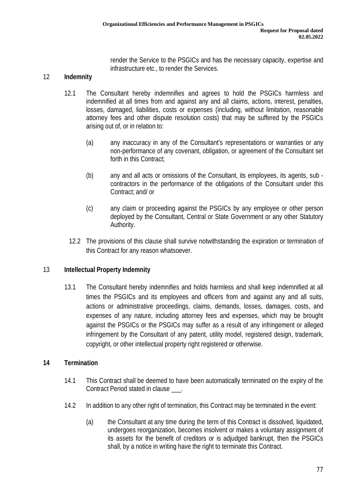render the Service to the PSGICs and has the necessary capacity, expertise and infrastructure etc., to render the Services.

## 12 **Indemnity**

- 12.1 The Consultant hereby indemnifies and agrees to hold the PSGICs harmless and indemnified at all times from and against any and all claims, actions, interest, penalties, losses, damaged, liabilities, costs or expenses (including, without limitation, reasonable attorney fees and other dispute resolution costs) that may be suffered by the PSGICs arising out of, or in relation to:
	- (a) any inaccuracy in any of the Consultant's representations or warranties or any non-performance of any covenant, obligation, or agreement of the Consultant set forth in this Contract;
	- (b) any and all acts or omissions of the Consultant, its employees, its agents, sub contractors in the performance of the obligations of the Consultant under this Contract; and/ or
	- (c) any claim or proceeding against the PSGICs by any employee or other person deployed by the Consultant, Central or State Government or any other Statutory Authority.
	- 12.2 The provisions of this clause shall survive notwithstanding the expiration or termination of this Contract for any reason whatsoever.

### 13 **Intellectual Property Indemnity**

13.1 The Consultant hereby indemnifies and holds harmless and shall keep indemnified at all times the PSGICs and its employees and officers from and against any and all suits, actions or administrative proceedings, claims, demands, losses, damages, costs, and expenses of any nature, including attorney fees and expenses, which may be brought against the PSGICs or the PSGICs may suffer as a result of any infringement or alleged infringement by the Consultant of any patent, utility model, registered design, trademark, copyright, or other intellectual property right registered or otherwise.

### **14 Termination**

- 14.1 This Contract shall be deemed to have been automatically terminated on the expiry of the Contract Period stated in clause \_\_\_.
- 14.2 In addition to any other right of termination, this Contract may be terminated in the event:
	- (a) the Consultant at any time during the term of this Contract is dissolved, liquidated, undergoes reorganization, becomes insolvent or makes a voluntary assignment of its assets for the benefit of creditors or is adjudged bankrupt, then the PSGICs shall, by a notice in writing have the right to terminate this Contract.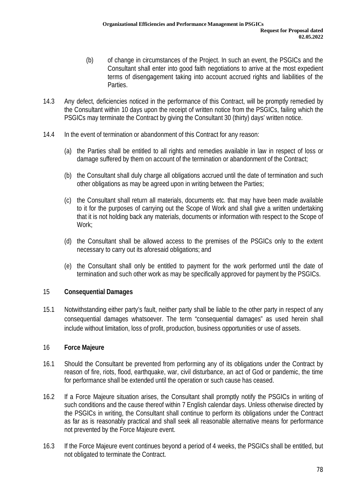- (b) of change in circumstances of the Project. In such an event, the PSGICs and the Consultant shall enter into good faith negotiations to arrive at the most expedient terms of disengagement taking into account accrued rights and liabilities of the Parties.
- 14.3 Any defect, deficiencies noticed in the performance of this Contract, will be promptly remedied by the Consultant within 10 days upon the receipt of written notice from the PSGICs, failing which the PSGICs may terminate the Contract by giving the Consultant 30 (thirty) days' written notice.
- 14.4 In the event of termination or abandonment of this Contract for any reason:
	- (a) the Parties shall be entitled to all rights and remedies available in law in respect of loss or damage suffered by them on account of the termination or abandonment of the Contract;
	- (b) the Consultant shall duly charge all obligations accrued until the date of termination and such other obligations as may be agreed upon in writing between the Parties;
	- (c) the Consultant shall return all materials, documents etc. that may have been made available to it for the purposes of carrying out the Scope of Work and shall give a written undertaking that it is not holding back any materials, documents or information with respect to the Scope of Work;
	- (d) the Consultant shall be allowed access to the premises of the PSGICs only to the extent necessary to carry out its aforesaid obligations; and
	- (e) the Consultant shall only be entitled to payment for the work performed until the date of termination and such other work as may be specifically approved for payment by the PSGICs.

### 15 **Consequential Damages**

15.1 Notwithstanding either party's fault, neither party shall be liable to the other party in respect of any consequential damages whatsoever. The term "consequential damages" as used herein shall include without limitation, loss of profit, production, business opportunities or use of assets.

### 16 **Force Majeure**

- 16.1 Should the Consultant be prevented from performing any of its obligations under the Contract by reason of fire, riots, flood, earthquake, war, civil disturbance, an act of God or pandemic, the time for performance shall be extended until the operation or such cause has ceased.
- 16.2 If a Force Majeure situation arises, the Consultant shall promptly notify the PSGICs in writing of such conditions and the cause thereof within 7 English calendar days. Unless otherwise directed by the PSGICs in writing, the Consultant shall continue to perform its obligations under the Contract as far as is reasonably practical and shall seek all reasonable alternative means for performance not prevented by the Force Majeure event.
- 16.3 If the Force Majeure event continues beyond a period of 4 weeks, the PSGICs shall be entitled, but not obligated to terminate the Contract.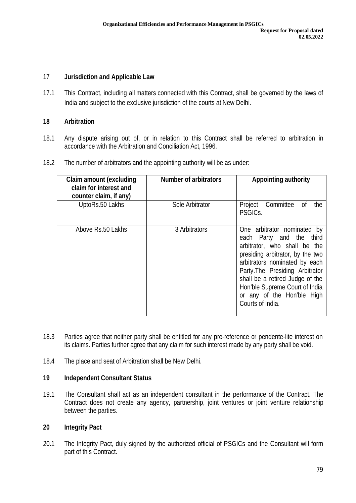### 17 **Jurisdiction and Applicable Law**

17.1 This Contract, including all matters connected with this Contract, shall be governed by the laws of India and subject to the exclusive jurisdiction of the courts at New Delhi.

### **18 Arbitration**

- 18.1 Any dispute arising out of, or in relation to this Contract shall be referred to arbitration in accordance with the Arbitration and Conciliation Act, 1996.
- 18.2 The number of arbitrators and the appointing authority will be as under:

| <b>Claim amount (excluding</b><br>claim for interest and<br>counter claim, if any) | <b>Number of arbitrators</b> | <b>Appointing authority</b>                                                                                                                                                                                                                                                                                            |
|------------------------------------------------------------------------------------|------------------------------|------------------------------------------------------------------------------------------------------------------------------------------------------------------------------------------------------------------------------------------------------------------------------------------------------------------------|
| UptoRs.50 Lakhs                                                                    | Sole Arbitrator              | Project Committee<br>the<br>0f<br>PSGICs.                                                                                                                                                                                                                                                                              |
| Above Rs.50 Lakhs                                                                  | 3 Arbitrators                | One arbitrator nominated by<br>each Party and the third<br>arbitrator, who shall be the<br>presiding arbitrator, by the two<br>arbitrators nominated by each<br>Party. The Presiding Arbitrator<br>shall be a retired Judge of the<br>Hon'ble Supreme Court of India<br>or any of the Hon'ble High<br>Courts of India. |

- 18.3 Parties agree that neither party shall be entitled for any pre-reference or pendente-lite interest on its claims. Parties further agree that any claim for such interest made by any party shall be void.
- 18.4 The place and seat of Arbitration shall be New Delhi.

### **19 Independent Consultant Status**

19.1 The Consultant shall act as an independent consultant in the performance of the Contract. The Contract does not create any agency, partnership, joint ventures or joint venture relationship between the parties.

### **20 Integrity Pact**

20.1 The Integrity Pact, duly signed by the authorized official of PSGICs and the Consultant will form part of this Contract.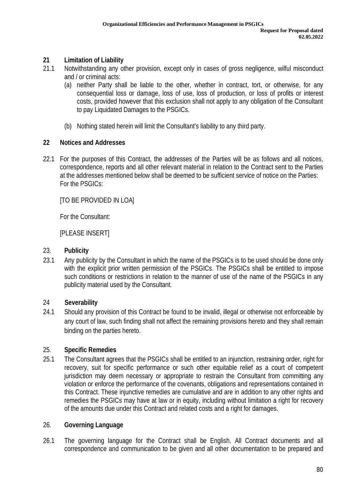# **21 Limitation of Liability**

- 21.1 Notwithstanding any other provision, except only in cases of gross negligence, wilful misconduct and / or criminal acts:
	- (a) neither Party shall be liable to the other, whether in contract, tort, or otherwise, for any consequential loss or damage, loss of use, loss of production, or loss of profits or interest costs, provided however that this exclusion shall not apply to any obligation of the Consultant to pay Liquidated Damages to the PSGICs.
	- (b) Nothing stated herein will limit the Consultant's liability to any third party.

# **22 Notices and Addresses**

22.1 For the purposes of this Contract, the addresses of the Parties will be as follows and all notices, correspondence, reports and all other relevant material in relation to the Contract sent to the Parties at the addresses mentioned below shall be deemed to be sufficient service of notice on the Parties: For the PSGICs:

[TO BE PROVIDED IN LOA]

For the Consultant:

[PLEASE INSERT]

## 23. **Publicity**

23.1 Any publicity by the Consultant in which the name of the PSGICs is to be used should be done only with the explicit prior written permission of the PSGICs. The PSGICs shall be entitled to impose such conditions or restrictions in relation to the manner of use of the name of the PSGICs in any publicity material used by the Consultant.

# 24 **Severability**

24.1 Should any provision of this Contract be found to be invalid, illegal or otherwise not enforceable by any court of law, such finding shall not affect the remaining provisions hereto and they shall remain binding on the parties hereto.

# 25. **Specific Remedies**

25.1 The Consultant agrees that the PSGICs shall be entitled to an injunction, restraining order, right for recovery, suit for specific performance or such other equitable relief as a court of competent jurisdiction may deem necessary or appropriate to restrain the Consultant from committing any violation or enforce the performance of the covenants, obligations and representations contained in this Contract. These injunctive remedies are cumulative and are in addition to any other rights and remedies the PSGICs may have at law or in equity, including without limitation a right for recovery of the amounts due under this Contract and related costs and a right for damages.

### 26. **Governing Language**

26.1 The governing language for the Contract shall be English. All Contract documents and all correspondence and communication to be given and all other documentation to be prepared and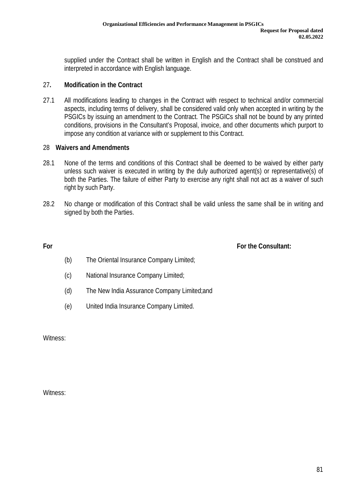supplied under the Contract shall be written in English and the Contract shall be construed and interpreted in accordance with English language.

### 27**. Modification in the Contract**

27.1 All modifications leading to changes in the Contract with respect to technical and/or commercial aspects, including terms of delivery, shall be considered valid only when accepted in writing by the PSGICs by issuing an amendment to the Contract. The PSGICs shall not be bound by any printed conditions, provisions in the Consultant's Proposal, invoice, and other documents which purport to impose any condition at variance with or supplement to this Contract.

### 28 **Waivers and Amendments**

- 28.1 None of the terms and conditions of this Contract shall be deemed to be waived by either party unless such waiver is executed in writing by the duly authorized agent(s) or representative(s) of both the Parties. The failure of either Party to exercise any right shall not act as a waiver of such right by such Party.
- 28.2 No change or modification of this Contract shall be valid unless the same shall be in writing and signed by both the Parties.

**For For the Consultant:** 

- (b) The Oriental Insurance Company Limited;
- (c) National Insurance Company Limited;
- (d) The New India Assurance Company Limited;and
- (e) United India Insurance Company Limited.

Witness:

Witness: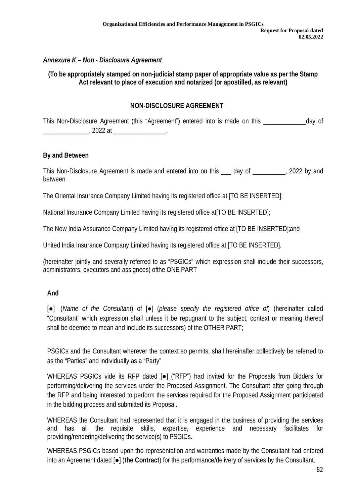## *Annexure K – Non - Disclosure Agreement*

### **(To be appropriately stamped on non-judicial stamp paper of appropriate value as per the Stamp Act relevant to place of execution and notarized (or apostilled, as relevant)**

## **NON-DISCLOSURE AGREEMENT**

This Non-Disclosure Agreement (this "Agreement") entered into is made on this \_\_\_\_\_\_\_\_\_\_\_\_\_day of \_\_\_\_\_\_\_\_\_\_\_\_\_\_, 2022 at \_\_\_\_\_\_\_\_\_\_\_\_\_\_\_\_.

#### **By and Between**

This Non-Disclosure Agreement is made and entered into on this \_\_\_ day of \_\_\_\_\_\_\_\_\_\_, 2022 by and between

The Oriental Insurance Company Limited having its registered office at [TO BE INSERTED];

National Insurance Company Limited having its registered office at [TO BE INSERTED];

The New India Assurance Company Limited having its registered office at [TO BE INSERTED];and

United India Insurance Company Limited having its registered office at [TO BE INSERTED].

(hereinafter jointly and severally referred to as "PSGICs" which expression shall include their successors, administrators, executors and assignees) ofthe ONE PART

### **And**

[●] (*Name of the Consultant*) of [●] (*please specify the registered office of*) (hereinafter called "Consultant" which expression shall unless it be repugnant to the subject, context or meaning thereof shall be deemed to mean and include its successors) of the OTHER PART;

PSGICs and the Consultant wherever the context so permits, shall hereinafter collectively be referred to as the "Parties" and individually as a "Party"

WHEREAS PSGICs vide its RFP dated [●] ("RFP") had invited for the Proposals from Bidders for performing/delivering the services under the Proposed Assignment. The Consultant after going through the RFP and being interested to perform the services required for the Proposed Assignment participated in the bidding process and submitted its Proposal.

WHEREAS the Consultant had represented that it is engaged in the business of providing the services and has all the requisite skills, expertise, experience and necessary facilitates for providing/rendering/delivering the service(s) to PSGICs.

WHEREAS PSGICs based upon the representation and warranties made by the Consultant had entered into an Agreement dated [●] (**the Contract**) for the performance/delivery of services by the Consultant.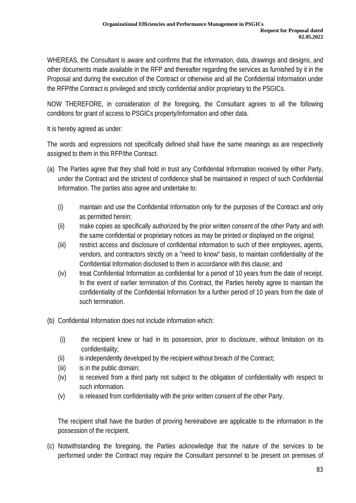WHEREAS, the Consultant is aware and confirms that the information, data, drawings and designs, and other documents made available in the RFP and thereafter regarding the services as furnished by it in the Proposal and during the execution of the Contract or otherwise and all the Confidential Information under the RFP/the Contract is privileged and strictly confidential and/or proprietary to the PSGICs.

NOW THEREFORE, in consideration of the foregoing, the Consultant agrees to all the following conditions for grant of access to PSGICs property/information and other data.

It is hereby agreed as under:

The words and expressions not specifically defined shall have the same meanings as are respectively assigned to them in this RFP/the Contract.

- (a) The Parties agree that they shall hold in trust any Confidential Information received by either Party, under the Contract and the strictest of confidence shall be maintained in respect of such Confidential Information. The parties also agree and undertake to:
	- (i) maintain and use the Confidential Information only for the purposes of the Contract and only as permitted herein;
	- (ii) make copies as specifically authorized by the prior written consent of the other Party and with the same confidential or proprietary notices as may be printed or displayed on the original;
	- (iii) restrict access and disclosure of confidential information to such of their employees, agents, vendors, and contractors strictly on a "need to know" basis, to maintain confidentiality of the Confidential Information disclosed to them in accordance with this clause; and
	- (iv) treat Confidential Information as confidential for a period of 10 years from the date of receipt. In the event of earlier termination of this Contract, the Parties hereby agree to maintain the confidentiality of the Confidential Information for a further period of 10 years from the date of such termination.
- (b) Confidential Information does not include information which:
	- (i) the recipient knew or had in its possession, prior to disclosure, without limitation on its confidentiality;
	- $(i)$  is independently developed by the recipient without breach of the Contract;
	- $(iii)$  is in the public domain;
	- (iv) is received from a third party not subject to the obligation of confidentiality with respect to such information.
	- (v) is released from confidentiality with the prior written consent of the other Party.

The recipient shall have the burden of proving hereinabove are applicable to the information in the possession of the recipient.

(c) Notwithstanding the foregoing, the Parties acknowledge that the nature of the services to be performed under the Contract may require the Consultant personnel to be present on premises of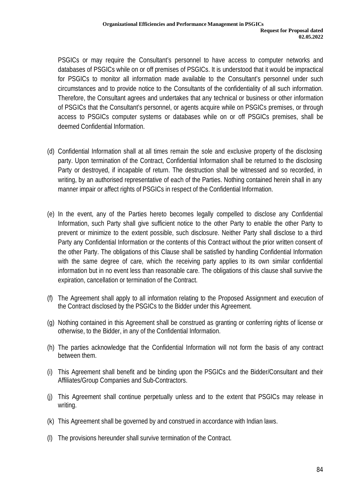PSGICs or may require the Consultant's personnel to have access to computer networks and databases of PSGICs while on or off premises of PSGICs. It is understood that it would be impractical for PSGICs to monitor all information made available to the Consultant's personnel under such circumstances and to provide notice to the Consultants of the confidentiality of all such information. Therefore, the Consultant agrees and undertakes that any technical or business or other information of PSGICs that the Consultant's personnel, or agents acquire while on PSGICs premises, or through access to PSGICs computer systems or databases while on or off PSGICs premises, shall be deemed Confidential Information.

- (d) Confidential Information shall at all times remain the sole and exclusive property of the disclosing party. Upon termination of the Contract, Confidential Information shall be returned to the disclosing Party or destroyed, if incapable of return. The destruction shall be witnessed and so recorded, in writing, by an authorised representative of each of the Parties. Nothing contained herein shall in any manner impair or affect rights of PSGICs in respect of the Confidential Information.
- (e) In the event, any of the Parties hereto becomes legally compelled to disclose any Confidential Information, such Party shall give sufficient notice to the other Party to enable the other Party to prevent or minimize to the extent possible, such disclosure. Neither Party shall disclose to a third Party any Confidential Information or the contents of this Contract without the prior written consent of the other Party. The obligations of this Clause shall be satisfied by handling Confidential Information with the same degree of care, which the receiving party applies to its own similar confidential information but in no event less than reasonable care. The obligations of this clause shall survive the expiration, cancellation or termination of the Contract.
- (f) The Agreement shall apply to all information relating to the Proposed Assignment and execution of the Contract disclosed by the PSGICs to the Bidder under this Agreement.
- (g) Nothing contained in this Agreement shall be construed as granting or conferring rights of license or otherwise, to the Bidder, in any of the Confidential Information.
- (h) The parties acknowledge that the Confidential Information will not form the basis of any contract between them.
- (i) This Agreement shall benefit and be binding upon the PSGICs and the Bidder/Consultant and their Affiliates/Group Companies and Sub-Contractors.
- (j) This Agreement shall continue perpetually unless and to the extent that PSGICs may release in writing.
- (k) This Agreement shall be governed by and construed in accordance with Indian laws.
- (l) The provisions hereunder shall survive termination of the Contract.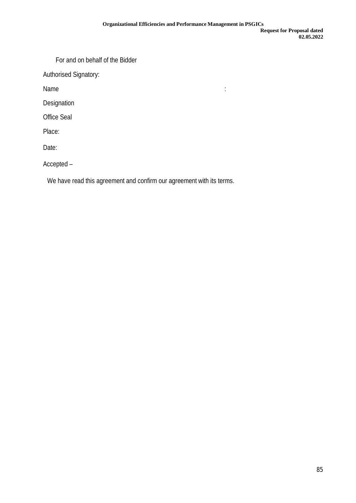For and on behalf of the Bidder

Authorised Signatory:

Name is a set of the set of the set of the set of the set of the set of the set of the set of the set of the s

Designation

Office Seal

Place:

Date:

Accepted –

We have read this agreement and confirm our agreement with its terms.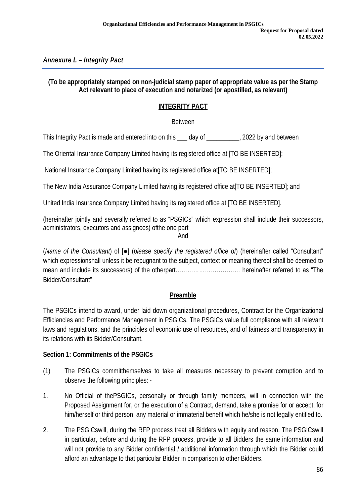# *Annexure L – Integrity Pact*

### **(To be appropriately stamped on non-judicial stamp paper of appropriate value as per the Stamp Act relevant to place of execution and notarized (or apostilled, as relevant)**

## **INTEGRITY PACT**

Between

This Integrity Pact is made and entered into on this \_\_\_ day of \_\_\_\_\_\_\_\_\_\_, 2022 by and between

The Oriental Insurance Company Limited having its registered office at [TO BE INSERTED];

National Insurance Company Limited having its registered office at[TO BE INSERTED];

The New India Assurance Company Limited having its registered office at[TO BE INSERTED]; and

United India Insurance Company Limited having its registered office at [TO BE INSERTED].

(hereinafter jointly and severally referred to as "PSGICs" which expression shall include their successors, administrators, executors and assignees) ofthe one part

And

(*Name of the Consultant*) of [●] (*please specify the registered office of*) (hereinafter called "Consultant" which expressionshall unless it be repugnant to the subject, context or meaning thereof shall be deemed to mean and include its successors) of the otherpart…………………………… hereinafter referred to as "The Bidder/Consultant"

# **Preamble**

The PSGICs intend to award, under laid down organizational procedures, Contract for the Organizational Efficiencies and Performance Management in PSGICs. The PSGICs value full compliance with all relevant laws and regulations, and the principles of economic use of resources, and of fairness and transparency in its relations with its Bidder/Consultant.

### **Section 1: Commitments of the PSGICs**

- (1) The PSGICs committhemselves to take all measures necessary to prevent corruption and to observe the following principles: -
- 1. No Official of thePSGICs, personally or through family members, will in connection with the Proposed Assignment for, or the execution of a Contract, demand, take a promise for or accept, for him/herself or third person, any material or immaterial benefit which he/she is not legally entitled to.
- 2. The PSGICswill, during the RFP process treat all Bidders with equity and reason. The PSGICswill in particular, before and during the RFP process, provide to all Bidders the same information and will not provide to any Bidder confidential / additional information through which the Bidder could afford an advantage to that particular Bidder in comparison to other Bidders.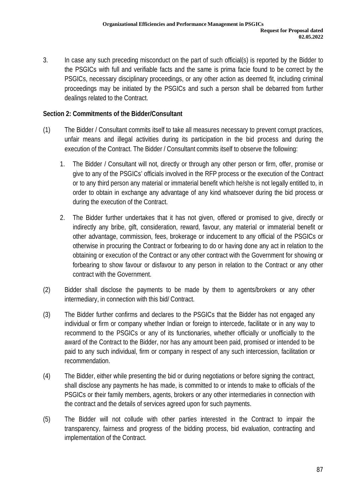3. In case any such preceding misconduct on the part of such official(s) is reported by the Bidder to the PSGICs with full and verifiable facts and the same is prima facie found to be correct by the PSGICs, necessary disciplinary proceedings, or any other action as deemed fit, including criminal proceedings may be initiated by the PSGICs and such a person shall be debarred from further dealings related to the Contract.

### **Section 2: Commitments of the Bidder/Consultant**

- (1) The Bidder / Consultant commits itself to take all measures necessary to prevent corrupt practices, unfair means and illegal activities during its participation in the bid process and during the execution of the Contract. The Bidder / Consultant commits itself to observe the following:
	- 1. The Bidder / Consultant will not, directly or through any other person or firm, offer, promise or give to any of the PSGICs' officials involved in the RFP process or the execution of the Contract or to any third person any material or immaterial benefit which he/she is not legally entitled to, in order to obtain in exchange any advantage of any kind whatsoever during the bid process or during the execution of the Contract.
	- 2. The Bidder further undertakes that it has not given, offered or promised to give, directly or indirectly any bribe, gift, consideration, reward, favour, any material or immaterial benefit or other advantage, commission, fees, brokerage or inducement to any official of the PSGICs or otherwise in procuring the Contract or forbearing to do or having done any act in relation to the obtaining or execution of the Contract or any other contract with the Government for showing or forbearing to show favour or disfavour to any person in relation to the Contract or any other contract with the Government.
- (2) Bidder shall disclose the payments to be made by them to agents/brokers or any other intermediary, in connection with this bid/ Contract.
- (3) The Bidder further confirms and declares to the PSGICs that the Bidder has not engaged any individual or firm or company whether Indian or foreign to intercede, facilitate or in any way to recommend to the PSGICs or any of its functionaries, whether officially or unofficially to the award of the Contract to the Bidder, nor has any amount been paid, promised or intended to be paid to any such individual, firm or company in respect of any such intercession, facilitation or recommendation.
- (4) The Bidder, either while presenting the bid or during negotiations or before signing the contract, shall disclose any payments he has made, is committed to or intends to make to officials of the PSGICs or their family members, agents, brokers or any other intermediaries in connection with the contract and the details of services agreed upon for such payments.
- (5) The Bidder will not collude with other parties interested in the Contract to impair the transparency, fairness and progress of the bidding process, bid evaluation, contracting and implementation of the Contract.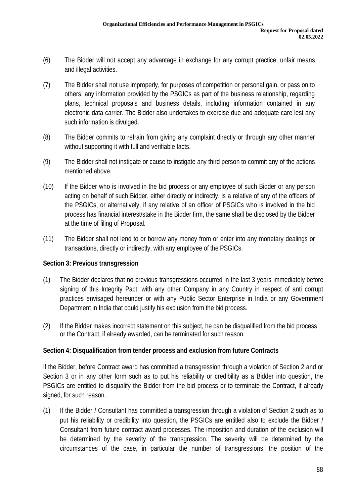- (6) The Bidder will not accept any advantage in exchange for any corrupt practice, unfair means and illegal activities.
- (7) The Bidder shall not use improperly, for purposes of competition or personal gain, or pass on to others, any information provided by the PSGICs as part of the business relationship, regarding plans, technical proposals and business details, including information contained in any electronic data carrier. The Bidder also undertakes to exercise due and adequate care lest any such information is divulged.
- (8) The Bidder commits to refrain from giving any complaint directly or through any other manner without supporting it with full and verifiable facts.
- (9) The Bidder shall not instigate or cause to instigate any third person to commit any of the actions mentioned above.
- (10) If the Bidder who is involved in the bid process or any employee of such Bidder or any person acting on behalf of such Bidder, either directly or indirectly, is a relative of any of the officers of the PSGICs, or alternatively, if any relative of an officer of PSGICs who is involved in the bid process has financial interest/stake in the Bidder firm, the same shall be disclosed by the Bidder at the time of filing of Proposal.
- (11) The Bidder shall not lend to or borrow any money from or enter into any monetary dealings or transactions, directly or indirectly, with any employee of the PSGICs.

### **Section 3: Previous transgression**

- (1) The Bidder declares that no previous transgressions occurred in the last 3 years immediately before signing of this Integrity Pact, with any other Company in any Country in respect of anti corrupt practices envisaged hereunder or with any Public Sector Enterprise in India or any Government Department in India that could justify his exclusion from the bid process.
- (2) If the Bidder makes incorrect statement on this subject, he can be disqualified from the bid process or the Contract, if already awarded, can be terminated for such reason.

### **Section 4: Disqualification from tender process and exclusion from future Contracts**

If the Bidder, before Contract award has committed a transgression through a violation of Section 2 and or Section 3 or in any other form such as to put his reliability or credibility as a Bidder into question, the PSGICs are entitled to disqualify the Bidder from the bid process or to terminate the Contract, if already signed, for such reason.

(1) If the Bidder / Consultant has committed a transgression through a violation of Section 2 such as to put his reliability or credibility into question, the PSGICs are entitled also to exclude the Bidder / Consultant from future contract award processes. The imposition and duration of the exclusion will be determined by the severity of the transgression. The severity will be determined by the circumstances of the case, in particular the number of transgressions, the position of the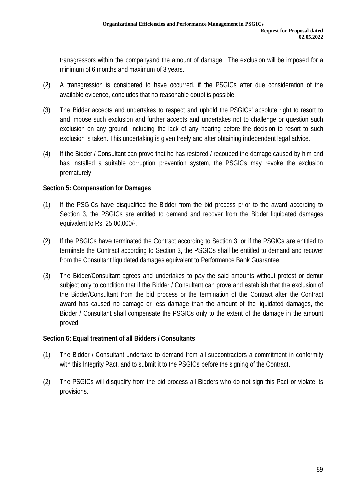transgressors within the companyand the amount of damage. The exclusion will be imposed for a minimum of 6 months and maximum of 3 years.

- (2) A transgression is considered to have occurred, if the PSGICs after due consideration of the available evidence, concludes that no reasonable doubt is possible.
- (3) The Bidder accepts and undertakes to respect and uphold the PSGICs' absolute right to resort to and impose such exclusion and further accepts and undertakes not to challenge or question such exclusion on any ground, including the lack of any hearing before the decision to resort to such exclusion is taken. This undertaking is given freely and after obtaining independent legal advice.
- (4) If the Bidder / Consultant can prove that he has restored / recouped the damage caused by him and has installed a suitable corruption prevention system, the PSGICs may revoke the exclusion prematurely.

# **Section 5: Compensation for Damages**

- (1) If the PSGICs have disqualified the Bidder from the bid process prior to the award according to Section 3, the PSGICs are entitled to demand and recover from the Bidder liquidated damages equivalent to Rs. 25,00,000/-.
- (2) If the PSGICs have terminated the Contract according to Section 3, or if the PSGICs are entitled to terminate the Contract according to Section 3, the PSGICs shall be entitled to demand and recover from the Consultant liquidated damages equivalent to Performance Bank Guarantee.
- (3) The Bidder/Consultant agrees and undertakes to pay the said amounts without protest or demur subject only to condition that if the Bidder / Consultant can prove and establish that the exclusion of the Bidder/Consultant from the bid process or the termination of the Contract after the Contract award has caused no damage or less damage than the amount of the liquidated damages, the Bidder / Consultant shall compensate the PSGICs only to the extent of the damage in the amount proved.

# **Section 6: Equal treatment of all Bidders / Consultants**

- (1) The Bidder / Consultant undertake to demand from all subcontractors a commitment in conformity with this Integrity Pact, and to submit it to the PSGICs before the signing of the Contract.
- (2) The PSGICs will disqualify from the bid process all Bidders who do not sign this Pact or violate its provisions.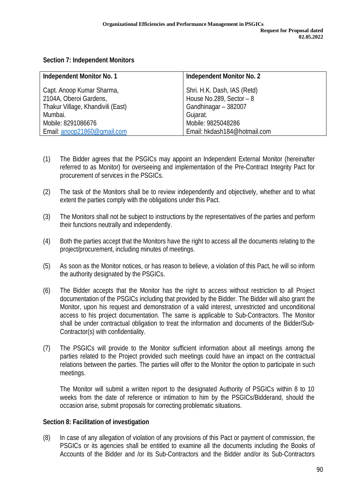### **Section 7: Independent Monitors**

| <b>Independent Monitor No. 1</b>  | <b>Independent Monitor No. 2</b> |
|-----------------------------------|----------------------------------|
| Capt. Anoop Kumar Sharma,         | Shri. H.K. Dash, IAS (Retd)      |
| 2104A, Oberoi Gardens,            | House No.289, Sector - 8         |
| Thakur Village, Khandivili (East) | Gandhinagar - 382007             |
| Mumbai.                           | Gujarat.                         |
| Mobile: 8291086676                | Mobile: 9825048286               |
| Email: anoop21860@gmail.com       | Email: hkdash184@hotmail.com     |

- (1) The Bidder agrees that the PSGICs may appoint an Independent External Monitor (hereinafter referred to as Monitor) for overseeing and implementation of the Pre-Contract Integrity Pact for procurement of services in the PSGICs.
- (2) The task of the Monitors shall be to review independently and objectively, whether and to what extent the parties comply with the obligations under this Pact.
- (3) The Monitors shall not be subject to instructions by the representatives of the parties and perform their functions neutrally and independently.
- (4) Both the parties accept that the Monitors have the right to access all the documents relating to the project/procurement, including minutes of meetings.
- (5) As soon as the Monitor notices, or has reason to believe, a violation of this Pact, he will so inform the authority designated by the PSGICs.
- (6) The Bidder accepts that the Monitor has the right to access without restriction to all Project documentation of the PSGICs including that provided by the Bidder. The Bidder will also grant the Monitor, upon his request and demonstration of a valid interest, unrestricted and unconditional access to his project documentation. The same is applicable to Sub-Contractors. The Monitor shall be under contractual obligation to treat the information and documents of the Bidder/Sub-Contractor(s) with confidentiality.
- (7) The PSGICs will provide to the Monitor sufficient information about all meetings among the parties related to the Project provided such meetings could have an impact on the contractual relations between the parties. The parties will offer to the Monitor the option to participate in such meetings.

The Monitor will submit a written report to the designated Authority of PSGICs within 8 to 10 weeks from the date of reference or intimation to him by the PSGICs/Bidderand, should the occasion arise, submit proposals for correcting problematic situations.

### **Section 8: Facilitation of investigation**

(8) In case of any allegation of violation of any provisions of this Pact or payment of commission, the PSGICs or its agencies shall be entitled to examine all the documents including the Books of Accounts of the Bidder and /or its Sub-Contractors and the Bidder and/or its Sub-Contractors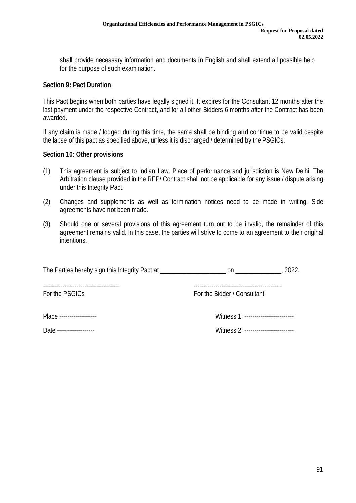shall provide necessary information and documents in English and shall extend all possible help for the purpose of such examination.

#### **Section 9: Pact Duration**

This Pact begins when both parties have legally signed it. It expires for the Consultant 12 months after the last payment under the respective Contract, and for all other Bidders 6 months after the Contract has been awarded.

If any claim is made / lodged during this time, the same shall be binding and continue to be valid despite the lapse of this pact as specified above, unless it is discharged / determined by the PSGICs.

#### **Section 10: Other provisions**

- (1) This agreement is subject to Indian Law. Place of performance and jurisdiction is New Delhi. The Arbitration clause provided in the RFP/ Contract shall not be applicable for any issue / dispute arising under this Integrity Pact.
- (2) Changes and supplements as well as termination notices need to be made in writing. Side agreements have not been made.
- (3) Should one or several provisions of this agreement turn out to be invalid, the remainder of this agreement remains valid. In this case, the parties will strive to come to an agreement to their original intentions.

| The Parties hereby sign this Integrity Pact at | 2022.<br>on                 |  |
|------------------------------------------------|-----------------------------|--|
| For the PSGICs                                 | For the Bidder / Consultant |  |

Place ------------------- Witness 1: -------------------------

Date ------------------- Witness 2: -------------------------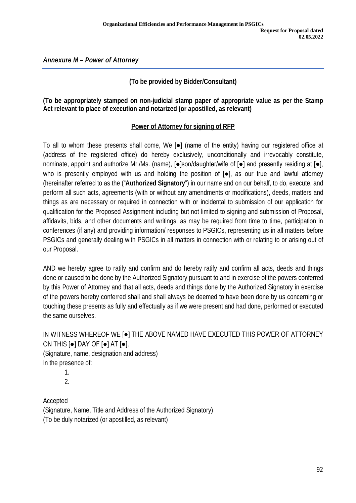*Annexure M – Power of Attorney*

# **(To be provided by Bidder/Consultant)**

## **(To be appropriately stamped on non-judicial stamp paper of appropriate value as per the Stamp Act relevant to place of execution and notarized (or apostilled, as relevant)**

## **Power of Attorney for signing of RFP**

To all to whom these presents shall come, We [●] (name of the entity) having our registered office at (address of the registered office) do hereby exclusively, unconditionally and irrevocably constitute, nominate, appoint and authorize Mr./Ms. (name), [●]son/daughter/wife of [●] and presently residing at [●], who is presently employed with us and holding the position of [●], as our true and lawful attorney (hereinafter referred to as the ("**Authorized Signatory**") in our name and on our behalf, to do, execute, and perform all such acts, agreements (with or without any amendments or modifications), deeds, matters and things as are necessary or required in connection with or incidental to submission of our application for qualification for the Proposed Assignment including but not limited to signing and submission of Proposal, affidavits, bids, and other documents and writings, as may be required from time to time, participation in conferences (if any) and providing information/ responses to PSGICs, representing us in all matters before PSGICs and generally dealing with PSGICs in all matters in connection with or relating to or arising out of our Proposal.

AND we hereby agree to ratify and confirm and do hereby ratify and confirm all acts, deeds and things done or caused to be done by the Authorized Signatory pursuant to and in exercise of the powers conferred by this Power of Attorney and that all acts, deeds and things done by the Authorized Signatory in exercise of the powers hereby conferred shall and shall always be deemed to have been done by us concerning or touching these presents as fully and effectually as if we were present and had done, performed or executed the same ourselves.

IN WITNESS WHEREOF WE [●] THE ABOVE NAMED HAVE EXECUTED THIS POWER OF ATTORNEY ON THIS [●] DAY OF [●] AT [●]. (Signature, name, designation and address)

In the presence of:

1. 2.

Accepted (Signature, Name, Title and Address of the Authorized Signatory) (To be duly notarized (or apostilled, as relevant)